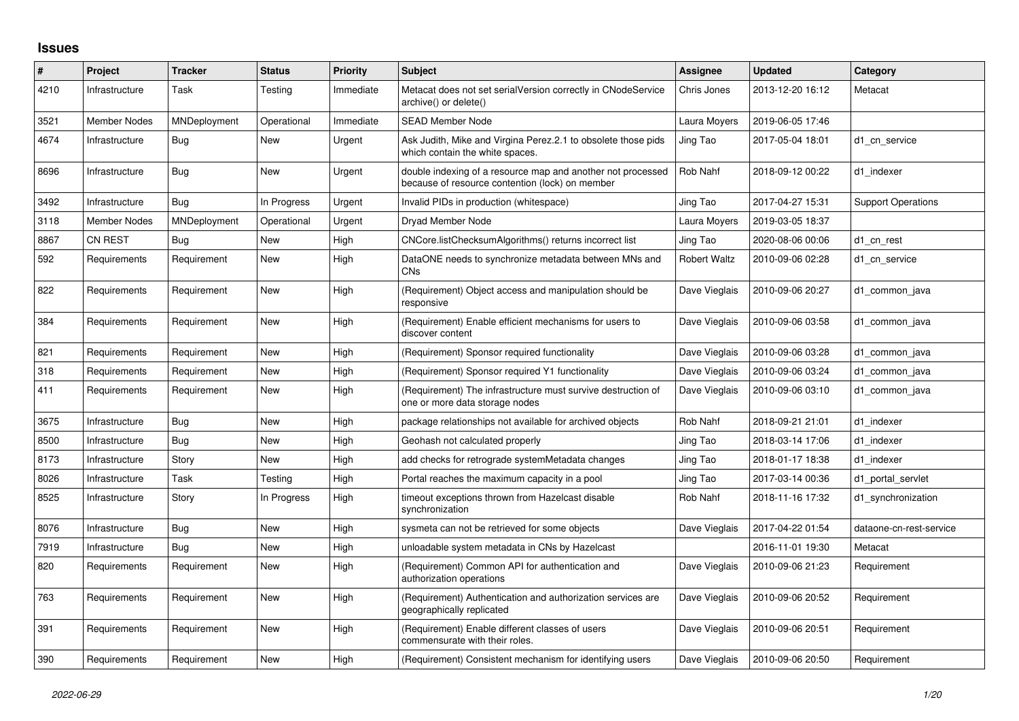## **Issues**

| #    | Project             | <b>Tracker</b> | <b>Status</b> | <b>Priority</b> | <b>Subject</b>                                                                                                 | Assignee            | <b>Updated</b>   | Category                  |
|------|---------------------|----------------|---------------|-----------------|----------------------------------------------------------------------------------------------------------------|---------------------|------------------|---------------------------|
| 4210 | Infrastructure      | Task           | Testing       | Immediate       | Metacat does not set serialVersion correctly in CNodeService<br>archive() or delete()                          | Chris Jones         | 2013-12-20 16:12 | Metacat                   |
| 3521 | <b>Member Nodes</b> | MNDeployment   | Operational   | Immediate       | <b>SEAD Member Node</b>                                                                                        | Laura Moyers        | 2019-06-05 17:46 |                           |
| 4674 | Infrastructure      | <b>Bug</b>     | New           | Urgent          | Ask Judith, Mike and Virgina Perez.2.1 to obsolete those pids<br>which contain the white spaces.               | Jing Tao            | 2017-05-04 18:01 | d1 cn service             |
| 8696 | Infrastructure      | Bug            | New           | Urgent          | double indexing of a resource map and another not processed<br>because of resource contention (lock) on member | Rob Nahf            | 2018-09-12 00:22 | d1 indexer                |
| 3492 | Infrastructure      | Bug            | In Progress   | Urgent          | Invalid PIDs in production (whitespace)                                                                        | Jing Tao            | 2017-04-27 15:31 | <b>Support Operations</b> |
| 3118 | <b>Member Nodes</b> | MNDeployment   | Operational   | Urgent          | Dryad Member Node                                                                                              | Laura Moyers        | 2019-03-05 18:37 |                           |
| 8867 | <b>CN REST</b>      | Bug            | New           | High            | CNCore.listChecksumAlgorithms() returns incorrect list                                                         | Jing Tao            | 2020-08-06 00:06 | d1 cn rest                |
| 592  | Requirements        | Requirement    | New           | High            | DataONE needs to synchronize metadata between MNs and<br><b>CNs</b>                                            | <b>Robert Waltz</b> | 2010-09-06 02:28 | d1 cn service             |
| 822  | Requirements        | Requirement    | New           | High            | (Requirement) Object access and manipulation should be<br>responsive                                           | Dave Vieglais       | 2010-09-06 20:27 | d1 common java            |
| 384  | Requirements        | Requirement    | New           | High            | (Requirement) Enable efficient mechanisms for users to<br>discover content                                     | Dave Vieglais       | 2010-09-06 03:58 | d1 common java            |
| 821  | Requirements        | Requirement    | <b>New</b>    | High            | (Requirement) Sponsor required functionality                                                                   | Dave Vieglais       | 2010-09-06 03:28 | d1 common java            |
| 318  | Requirements        | Requirement    | New           | High            | (Requirement) Sponsor required Y1 functionality                                                                | Dave Vieglais       | 2010-09-06 03:24 | d1 common java            |
| 411  | Requirements        | Requirement    | New           | High            | (Requirement) The infrastructure must survive destruction of<br>one or more data storage nodes                 | Dave Vieglais       | 2010-09-06 03:10 | d1 common java            |
| 3675 | Infrastructure      | Bug            | New           | High            | package relationships not available for archived objects                                                       | Rob Nahf            | 2018-09-21 21:01 | d1 indexer                |
| 8500 | Infrastructure      | Bug            | New           | High            | Geohash not calculated properly                                                                                | Jing Tao            | 2018-03-14 17:06 | d1 indexer                |
| 8173 | Infrastructure      | Story          | New           | High            | add checks for retrograde systemMetadata changes                                                               | Jing Tao            | 2018-01-17 18:38 | d1 indexer                |
| 8026 | Infrastructure      | Task           | Testing       | High            | Portal reaches the maximum capacity in a pool                                                                  | Jing Tao            | 2017-03-14 00:36 | d1_portal_servlet         |
| 8525 | Infrastructure      | Story          | In Progress   | High            | timeout exceptions thrown from Hazelcast disable<br>synchronization                                            | Rob Nahf            | 2018-11-16 17:32 | d1 synchronization        |
| 8076 | Infrastructure      | Bug            | New           | High            | sysmeta can not be retrieved for some objects                                                                  | Dave Vieglais       | 2017-04-22 01:54 | dataone-cn-rest-service   |
| 7919 | Infrastructure      | Bug            | New           | High            | unloadable system metadata in CNs by Hazelcast                                                                 |                     | 2016-11-01 19:30 | Metacat                   |
| 820  | Requirements        | Requirement    | New           | High            | (Requirement) Common API for authentication and<br>authorization operations                                    | Dave Vieglais       | 2010-09-06 21:23 | Requirement               |
| 763  | Requirements        | Requirement    | New           | High            | (Requirement) Authentication and authorization services are<br>geographically replicated                       | Dave Vieglais       | 2010-09-06 20:52 | Requirement               |
| 391  | Requirements        | Requirement    | New           | High            | (Requirement) Enable different classes of users<br>commensurate with their roles.                              | Dave Vieglais       | 2010-09-06 20:51 | Requirement               |
| 390  | Requirements        | Requirement    | New           | High            | (Requirement) Consistent mechanism for identifying users                                                       | Dave Vieglais       | 2010-09-06 20:50 | Requirement               |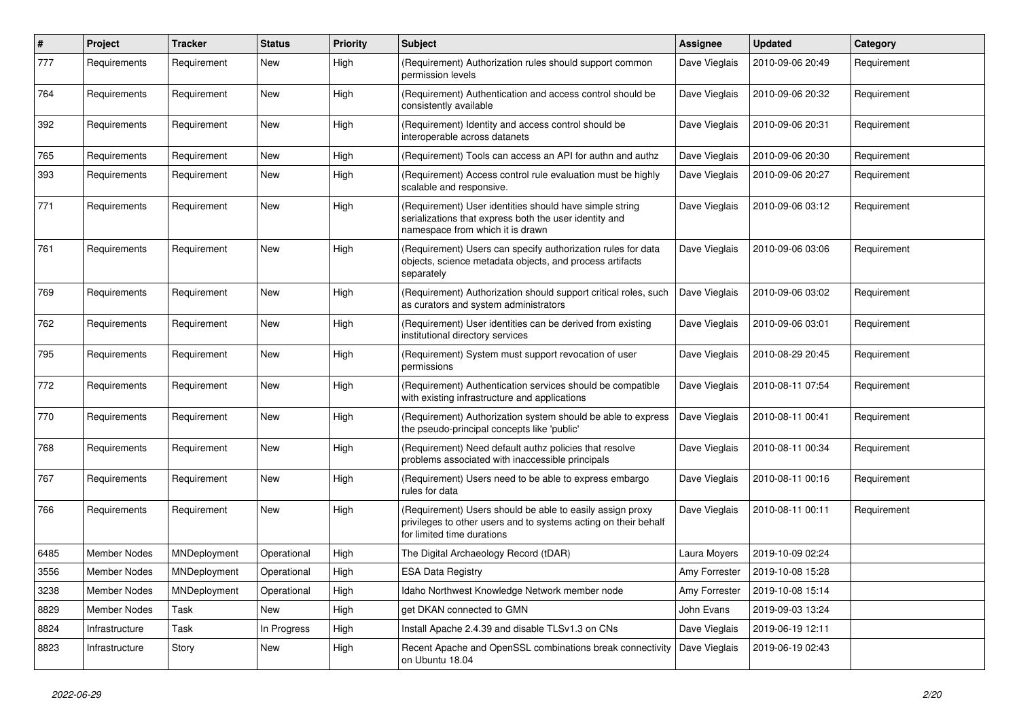| #    | Project        | <b>Tracker</b> | <b>Status</b> | <b>Priority</b> | <b>Subject</b>                                                                                                                                             | <b>Assignee</b> | Updated          | Category    |
|------|----------------|----------------|---------------|-----------------|------------------------------------------------------------------------------------------------------------------------------------------------------------|-----------------|------------------|-------------|
| 777  | Requirements   | Requirement    | New           | High            | (Requirement) Authorization rules should support common<br>permission levels                                                                               | Dave Vieglais   | 2010-09-06 20:49 | Requirement |
| 764  | Requirements   | Requirement    | New           | High            | (Requirement) Authentication and access control should be<br>consistently available                                                                        | Dave Vieglais   | 2010-09-06 20:32 | Requirement |
| 392  | Requirements   | Requirement    | New           | High            | (Requirement) Identity and access control should be<br>interoperable across datanets                                                                       | Dave Vieglais   | 2010-09-06 20:31 | Requirement |
| 765  | Requirements   | Requirement    | New           | High            | (Requirement) Tools can access an API for authn and authz                                                                                                  | Dave Vieglais   | 2010-09-06 20:30 | Requirement |
| 393  | Requirements   | Requirement    | New           | High            | (Requirement) Access control rule evaluation must be highly<br>scalable and responsive.                                                                    | Dave Vieglais   | 2010-09-06 20:27 | Requirement |
| 771  | Requirements   | Requirement    | New           | High            | (Requirement) User identities should have simple string<br>serializations that express both the user identity and<br>namespace from which it is drawn      | Dave Vieglais   | 2010-09-06 03:12 | Requirement |
| 761  | Requirements   | Requirement    | New           | High            | (Requirement) Users can specify authorization rules for data<br>objects, science metadata objects, and process artifacts<br>separately                     | Dave Vieglais   | 2010-09-06 03:06 | Requirement |
| 769  | Requirements   | Requirement    | New           | High            | (Requirement) Authorization should support critical roles, such<br>as curators and system administrators                                                   | Dave Vieglais   | 2010-09-06 03:02 | Requirement |
| 762  | Requirements   | Requirement    | New           | High            | (Requirement) User identities can be derived from existing<br>institutional directory services                                                             | Dave Vieglais   | 2010-09-06 03:01 | Requirement |
| 795  | Requirements   | Requirement    | New           | High            | (Requirement) System must support revocation of user<br>permissions                                                                                        | Dave Vieglais   | 2010-08-29 20:45 | Requirement |
| 772  | Requirements   | Requirement    | New           | High            | (Requirement) Authentication services should be compatible<br>with existing infrastructure and applications                                                | Dave Vieglais   | 2010-08-11 07:54 | Requirement |
| 770  | Requirements   | Requirement    | New           | High            | (Requirement) Authorization system should be able to express<br>the pseudo-principal concepts like 'public'                                                | Dave Vieglais   | 2010-08-11 00:41 | Requirement |
| 768  | Requirements   | Requirement    | New           | High            | (Requirement) Need default authz policies that resolve<br>problems associated with inaccessible principals                                                 | Dave Vieglais   | 2010-08-11 00:34 | Requirement |
| 767  | Requirements   | Requirement    | New           | High            | (Requirement) Users need to be able to express embargo<br>rules for data                                                                                   | Dave Vieglais   | 2010-08-11 00:16 | Requirement |
| 766  | Requirements   | Requirement    | New           | High            | (Requirement) Users should be able to easily assign proxy<br>privileges to other users and to systems acting on their behalf<br>for limited time durations | Dave Vieglais   | 2010-08-11 00:11 | Requirement |
| 6485 | Member Nodes   | MNDeployment   | Operational   | High            | The Digital Archaeology Record (tDAR)                                                                                                                      | Laura Moyers    | 2019-10-09 02:24 |             |
| 3556 | Member Nodes   | MNDeployment   | Operational   | High            | <b>ESA Data Registry</b>                                                                                                                                   | Amy Forrester   | 2019-10-08 15:28 |             |
| 3238 | Member Nodes   | MNDeployment   | Operational   | High            | Idaho Northwest Knowledge Network member node                                                                                                              | Amy Forrester   | 2019-10-08 15:14 |             |
| 8829 | Member Nodes   | Task           | New           | High            | get DKAN connected to GMN                                                                                                                                  | John Evans      | 2019-09-03 13:24 |             |
| 8824 | Infrastructure | Task           | In Progress   | High            | Install Apache 2.4.39 and disable TLSv1.3 on CNs                                                                                                           | Dave Vieglais   | 2019-06-19 12:11 |             |
| 8823 | Infrastructure | Story          | New           | High            | Recent Apache and OpenSSL combinations break connectivity<br>on Ubuntu 18.04                                                                               | Dave Vieglais   | 2019-06-19 02:43 |             |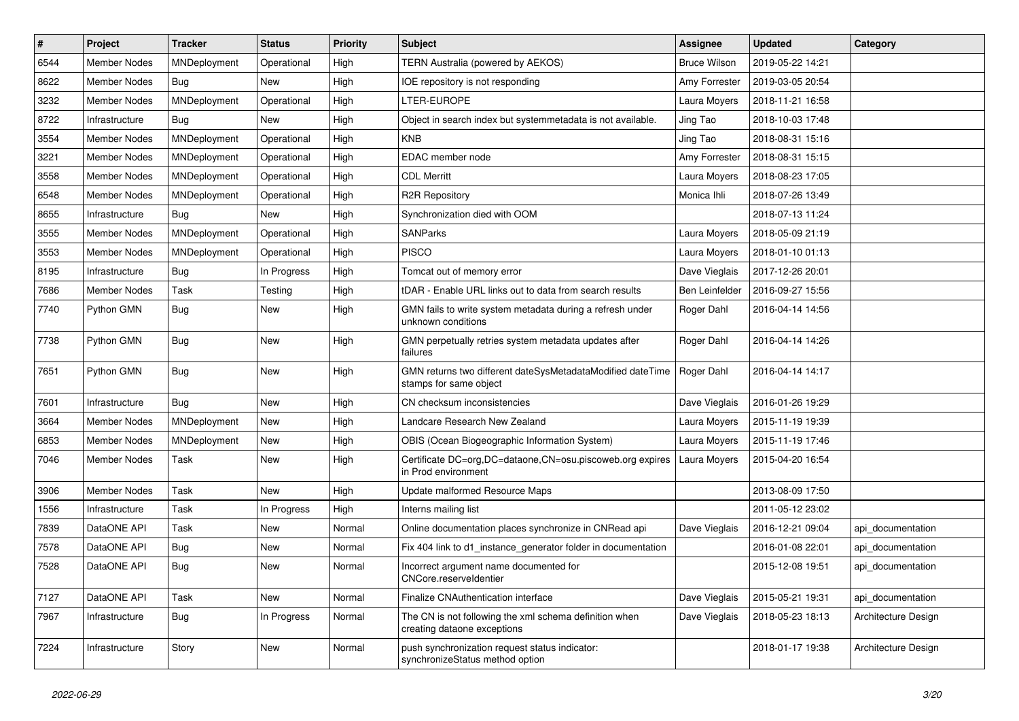| $\#$ | Project             | <b>Tracker</b> | <b>Status</b> | <b>Priority</b> | <b>Subject</b>                                                                        | <b>Assignee</b>     | <b>Updated</b>   | Category            |
|------|---------------------|----------------|---------------|-----------------|---------------------------------------------------------------------------------------|---------------------|------------------|---------------------|
| 6544 | <b>Member Nodes</b> | MNDeployment   | Operational   | High            | TERN Australia (powered by AEKOS)                                                     | <b>Bruce Wilson</b> | 2019-05-22 14:21 |                     |
| 8622 | <b>Member Nodes</b> | Bug            | <b>New</b>    | High            | IOE repository is not responding                                                      | Amy Forrester       | 2019-03-05 20:54 |                     |
| 3232 | <b>Member Nodes</b> | MNDeployment   | Operational   | High            | LTER-EUROPE                                                                           | Laura Moyers        | 2018-11-21 16:58 |                     |
| 8722 | Infrastructure      | Bug            | New           | High            | Object in search index but systemmetadata is not available.                           | Jing Tao            | 2018-10-03 17:48 |                     |
| 3554 | <b>Member Nodes</b> | MNDeployment   | Operational   | High            | <b>KNB</b>                                                                            | Jing Tao            | 2018-08-31 15:16 |                     |
| 3221 | Member Nodes        | MNDeployment   | Operational   | High            | EDAC member node                                                                      | Amy Forrester       | 2018-08-31 15:15 |                     |
| 3558 | <b>Member Nodes</b> | MNDeployment   | Operational   | High            | <b>CDL Merritt</b>                                                                    | Laura Moyers        | 2018-08-23 17:05 |                     |
| 6548 | Member Nodes        | MNDeployment   | Operational   | High            | <b>R2R Repository</b>                                                                 | Monica Ihli         | 2018-07-26 13:49 |                     |
| 8655 | Infrastructure      | Bug            | New           | High            | Synchronization died with OOM                                                         |                     | 2018-07-13 11:24 |                     |
| 3555 | <b>Member Nodes</b> | MNDeployment   | Operational   | High            | <b>SANParks</b>                                                                       | Laura Moyers        | 2018-05-09 21:19 |                     |
| 3553 | Member Nodes        | MNDeployment   | Operational   | High            | <b>PISCO</b>                                                                          | Laura Moyers        | 2018-01-10 01:13 |                     |
| 8195 | Infrastructure      | Bug            | In Progress   | High            | Tomcat out of memory error                                                            | Dave Vieglais       | 2017-12-26 20:01 |                     |
| 7686 | <b>Member Nodes</b> | Task           | Testing       | High            | tDAR - Enable URL links out to data from search results                               | Ben Leinfelder      | 2016-09-27 15:56 |                     |
| 7740 | Python GMN          | Bug            | New           | High            | GMN fails to write system metadata during a refresh under<br>unknown conditions       | Roger Dahl          | 2016-04-14 14:56 |                     |
| 7738 | Python GMN          | Bug            | New           | High            | GMN perpetually retries system metadata updates after<br>failures                     | Roger Dahl          | 2016-04-14 14:26 |                     |
| 7651 | Python GMN          | Bug            | New           | High            | GMN returns two different dateSysMetadataModified dateTime<br>stamps for same object  | Roger Dahl          | 2016-04-14 14:17 |                     |
| 7601 | Infrastructure      | Bug            | New           | High            | CN checksum inconsistencies                                                           | Dave Vieglais       | 2016-01-26 19:29 |                     |
| 3664 | <b>Member Nodes</b> | MNDeployment   | New           | High            | Landcare Research New Zealand                                                         | Laura Moyers        | 2015-11-19 19:39 |                     |
| 6853 | Member Nodes        | MNDeployment   | New           | High            | OBIS (Ocean Biogeographic Information System)                                         | Laura Moyers        | 2015-11-19 17:46 |                     |
| 7046 | Member Nodes        | Task           | New           | High            | Certificate DC=org, DC=dataone, CN=osu.piscoweb.org expires<br>in Prod environment    | Laura Moyers        | 2015-04-20 16:54 |                     |
| 3906 | <b>Member Nodes</b> | Task           | New           | High            | Update malformed Resource Maps                                                        |                     | 2013-08-09 17:50 |                     |
| 1556 | Infrastructure      | Task           | In Progress   | High            | Interns mailing list                                                                  |                     | 2011-05-12 23:02 |                     |
| 7839 | DataONE API         | Task           | New           | Normal          | Online documentation places synchronize in CNRead api                                 | Dave Vieglais       | 2016-12-21 09:04 | api documentation   |
| 7578 | DataONE API         | Bug            | New           | Normal          | Fix 404 link to d1_instance_generator folder in documentation                         |                     | 2016-01-08 22:01 | api_documentation   |
| 7528 | DataONE API         | Bug            | New           | Normal          | Incorrect argument name documented for<br>CNCore.reserveldentier                      |                     | 2015-12-08 19:51 | api documentation   |
| 7127 | DataONE API         | Task           | <b>New</b>    | Normal          | Finalize CNAuthentication interface                                                   | Dave Vieglais       | 2015-05-21 19:31 | api_documentation   |
| 7967 | Infrastructure      | Bug            | In Progress   | Normal          | The CN is not following the xml schema definition when<br>creating dataone exceptions | Dave Vieglais       | 2018-05-23 18:13 | Architecture Design |
| 7224 | Infrastructure      | Story          | New           | Normal          | push synchronization request status indicator:<br>synchronizeStatus method option     |                     | 2018-01-17 19:38 | Architecture Design |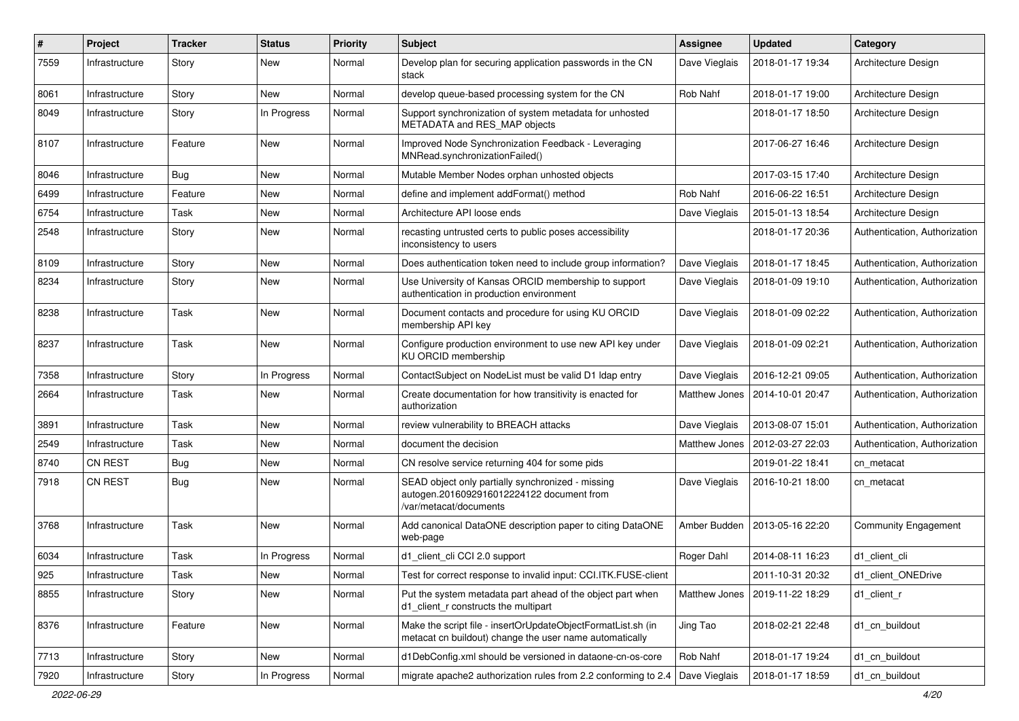| #    | Project        | <b>Tracker</b> | <b>Status</b> | <b>Priority</b> | <b>Subject</b>                                                                                                           | <b>Assignee</b> | <b>Updated</b>   | Category                      |
|------|----------------|----------------|---------------|-----------------|--------------------------------------------------------------------------------------------------------------------------|-----------------|------------------|-------------------------------|
| 7559 | Infrastructure | Story          | New           | Normal          | Develop plan for securing application passwords in the CN<br>stack                                                       | Dave Vieglais   | 2018-01-17 19:34 | Architecture Design           |
| 8061 | Infrastructure | Story          | New           | Normal          | develop queue-based processing system for the CN                                                                         | Rob Nahf        | 2018-01-17 19:00 | Architecture Design           |
| 8049 | Infrastructure | Story          | In Progress   | Normal          | Support synchronization of system metadata for unhosted<br>METADATA and RES_MAP objects                                  |                 | 2018-01-17 18:50 | Architecture Design           |
| 8107 | Infrastructure | Feature        | New           | Normal          | Improved Node Synchronization Feedback - Leveraging<br>MNRead.synchronizationFailed()                                    |                 | 2017-06-27 16:46 | Architecture Design           |
| 8046 | Infrastructure | Bug            | New           | Normal          | Mutable Member Nodes orphan unhosted objects                                                                             |                 | 2017-03-15 17:40 | Architecture Design           |
| 6499 | Infrastructure | Feature        | New           | Normal          | define and implement addFormat() method                                                                                  | Rob Nahf        | 2016-06-22 16:51 | Architecture Design           |
| 6754 | Infrastructure | Task           | New           | Normal          | Architecture API loose ends                                                                                              | Dave Vieglais   | 2015-01-13 18:54 | Architecture Design           |
| 2548 | Infrastructure | Story          | New           | Normal          | recasting untrusted certs to public poses accessibility<br>inconsistency to users                                        |                 | 2018-01-17 20:36 | Authentication, Authorization |
| 8109 | Infrastructure | Story          | New           | Normal          | Does authentication token need to include group information?                                                             | Dave Vieglais   | 2018-01-17 18:45 | Authentication, Authorization |
| 8234 | Infrastructure | Story          | New           | Normal          | Use University of Kansas ORCID membership to support<br>authentication in production environment                         | Dave Vieglais   | 2018-01-09 19:10 | Authentication, Authorization |
| 8238 | Infrastructure | Task           | New           | Normal          | Document contacts and procedure for using KU ORCID<br>membership API key                                                 | Dave Vieglais   | 2018-01-09 02:22 | Authentication, Authorization |
| 8237 | Infrastructure | Task           | New           | Normal          | Configure production environment to use new API key under<br>KU ORCID membership                                         | Dave Vieglais   | 2018-01-09 02:21 | Authentication, Authorization |
| 7358 | Infrastructure | Story          | In Progress   | Normal          | ContactSubject on NodeList must be valid D1 Idap entry                                                                   | Dave Vieglais   | 2016-12-21 09:05 | Authentication, Authorization |
| 2664 | Infrastructure | Task           | New           | Normal          | Create documentation for how transitivity is enacted for<br>authorization                                                | Matthew Jones   | 2014-10-01 20:47 | Authentication, Authorization |
| 3891 | Infrastructure | Task           | New           | Normal          | review vulnerability to BREACH attacks                                                                                   | Dave Vieglais   | 2013-08-07 15:01 | Authentication, Authorization |
| 2549 | Infrastructure | Task           | New           | Normal          | document the decision                                                                                                    | Matthew Jones   | 2012-03-27 22:03 | Authentication, Authorization |
| 8740 | <b>CN REST</b> | Bug            | New           | Normal          | CN resolve service returning 404 for some pids                                                                           |                 | 2019-01-22 18:41 | cn metacat                    |
| 7918 | <b>CN REST</b> | Bug            | New           | Normal          | SEAD object only partially synchronized - missing<br>autogen.2016092916012224122 document from<br>/var/metacat/documents | Dave Vieglais   | 2016-10-21 18:00 | cn metacat                    |
| 3768 | Infrastructure | Task           | New           | Normal          | Add canonical DataONE description paper to citing DataONE<br>web-page                                                    | Amber Budden    | 2013-05-16 22:20 | <b>Community Engagement</b>   |
| 6034 | Infrastructure | Task           | In Progress   | Normal          | d1 client cli CCI 2.0 support                                                                                            | Roger Dahl      | 2014-08-11 16:23 | d1 client cli                 |
| 925  | Infrastructure | Task           | New           | Normal          | Test for correct response to invalid input: CCI.ITK.FUSE-client                                                          |                 | 2011-10-31 20:32 | d1_client_ONEDrive            |
| 8855 | Infrastructure | Story          | New           | Normal          | Put the system metadata part ahead of the object part when<br>d1_client_r constructs the multipart                       | Matthew Jones   | 2019-11-22 18:29 | d1 client r                   |
| 8376 | Infrastructure | Feature        | New           | Normal          | Make the script file - insertOrUpdateObjectFormatList.sh (in<br>metacat cn buildout) change the user name automatically  | Jing Tao        | 2018-02-21 22:48 | d1_cn_buildout                |
| 7713 | Infrastructure | Story          | New           | Normal          | d1DebConfig.xml should be versioned in dataone-cn-os-core                                                                | Rob Nahf        | 2018-01-17 19:24 | d1_cn_buildout                |
| 7920 | Infrastructure | Story          | In Progress   | Normal          | migrate apache2 authorization rules from 2.2 conforming to 2.4                                                           | Dave Vieglais   | 2018-01-17 18:59 | d1 cn buildout                |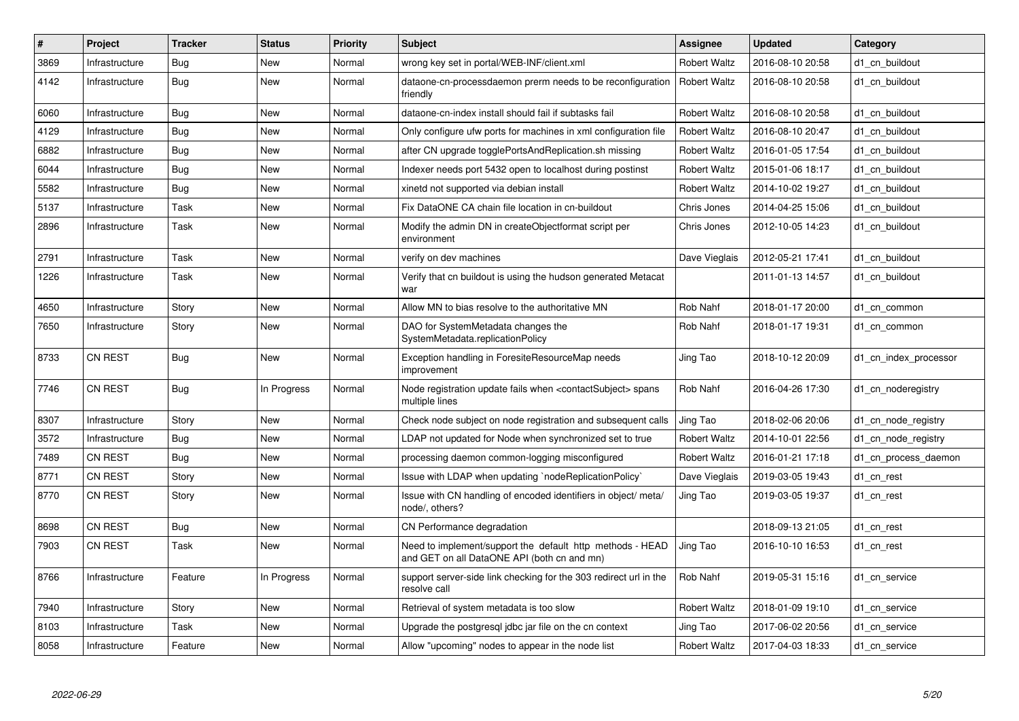| $\#$ | Project        | <b>Tracker</b> | <b>Status</b> | <b>Priority</b> | <b>Subject</b>                                                                                           | <b>Assignee</b>     | <b>Updated</b>   | Category              |
|------|----------------|----------------|---------------|-----------------|----------------------------------------------------------------------------------------------------------|---------------------|------------------|-----------------------|
| 3869 | Infrastructure | Bug            | <b>New</b>    | Normal          | wrong key set in portal/WEB-INF/client.xml                                                               | <b>Robert Waltz</b> | 2016-08-10 20:58 | d1 cn buildout        |
| 4142 | Infrastructure | <b>Bug</b>     | <b>New</b>    | Normal          | dataone-cn-processdaemon prerm needs to be reconfiguration<br>friendly                                   | <b>Robert Waltz</b> | 2016-08-10 20:58 | d1 cn buildout        |
| 6060 | Infrastructure | <b>Bug</b>     | <b>New</b>    | Normal          | dataone-cn-index install should fail if subtasks fail                                                    | <b>Robert Waltz</b> | 2016-08-10 20:58 | d1 cn buildout        |
| 4129 | Infrastructure | Bug            | New           | Normal          | Only configure ufw ports for machines in xml configuration file                                          | <b>Robert Waltz</b> | 2016-08-10 20:47 | d1_cn_buildout        |
| 6882 | Infrastructure | Bug            | New           | Normal          | after CN upgrade togglePortsAndReplication.sh missing                                                    | <b>Robert Waltz</b> | 2016-01-05 17:54 | d1 cn buildout        |
| 6044 | Infrastructure | Bug            | <b>New</b>    | Normal          | Indexer needs port 5432 open to localhost during postinst                                                | <b>Robert Waltz</b> | 2015-01-06 18:17 | d1 cn buildout        |
| 5582 | Infrastructure | Bug            | New           | Normal          | xinetd not supported via debian install                                                                  | <b>Robert Waltz</b> | 2014-10-02 19:27 | d1 cn buildout        |
| 5137 | Infrastructure | Task           | <b>New</b>    | Normal          | Fix DataONE CA chain file location in cn-buildout                                                        | Chris Jones         | 2014-04-25 15:06 | d1_cn_buildout        |
| 2896 | Infrastructure | Task           | <b>New</b>    | Normal          | Modify the admin DN in createObjectformat script per<br>environment                                      | Chris Jones         | 2012-10-05 14:23 | d1 cn buildout        |
| 2791 | Infrastructure | Task           | <b>New</b>    | Normal          | verify on dev machines                                                                                   | Dave Vieglais       | 2012-05-21 17:41 | d1_cn_buildout        |
| 1226 | Infrastructure | Task           | New           | Normal          | Verify that cn buildout is using the hudson generated Metacat<br>war                                     |                     | 2011-01-13 14:57 | d1 cn buildout        |
| 4650 | Infrastructure | Story          | <b>New</b>    | Normal          | Allow MN to bias resolve to the authoritative MN                                                         | Rob Nahf            | 2018-01-17 20:00 | d1 cn common          |
| 7650 | Infrastructure | Story          | New           | Normal          | DAO for SystemMetadata changes the<br>SystemMetadata.replicationPolicy                                   | Rob Nahf            | 2018-01-17 19:31 | d1 cn common          |
| 8733 | <b>CN REST</b> | Bug            | New           | Normal          | Exception handling in ForesiteResourceMap needs<br>improvement                                           | Jing Tao            | 2018-10-12 20:09 | d1 cn index processor |
| 7746 | <b>CN REST</b> | <b>Bug</b>     | In Progress   | Normal          | Node registration update fails when <contactsubject> spans<br/>multiple lines</contactsubject>           | Rob Nahf            | 2016-04-26 17:30 | d1_cn_noderegistry    |
| 8307 | Infrastructure | Story          | <b>New</b>    | Normal          | Check node subject on node registration and subsequent calls                                             | Jing Tao            | 2018-02-06 20:06 | d1_cn_node_registry   |
| 3572 | Infrastructure | Bug            | New           | Normal          | LDAP not updated for Node when synchronized set to true                                                  | <b>Robert Waltz</b> | 2014-10-01 22:56 | d1 cn node registry   |
| 7489 | <b>CN REST</b> | <b>Bug</b>     | New           | Normal          | processing daemon common-logging misconfigured                                                           | <b>Robert Waltz</b> | 2016-01-21 17:18 | d1 cn process daemon  |
| 8771 | CN REST        | Story          | <b>New</b>    | Normal          | Issue with LDAP when updating `nodeReplicationPolicy`                                                    | Dave Vieglais       | 2019-03-05 19:43 | d1 cn rest            |
| 8770 | CN REST        | Story          | New           | Normal          | Issue with CN handling of encoded identifiers in object/ meta/<br>node/, others?                         | Jing Tao            | 2019-03-05 19:37 | d1 cn rest            |
| 8698 | <b>CN REST</b> | Bug            | New           | Normal          | CN Performance degradation                                                                               |                     | 2018-09-13 21:05 | d1 cn rest            |
| 7903 | <b>CN REST</b> | Task           | New           | Normal          | Need to implement/support the default http methods - HEAD<br>and GET on all DataONE API (both cn and mn) | Jing Tao            | 2016-10-10 16:53 | d1 cn rest            |
| 8766 | Infrastructure | Feature        | In Progress   | Normal          | support server-side link checking for the 303 redirect url in the<br>resolve call                        | Rob Nahf            | 2019-05-31 15:16 | d1 cn service         |
| 7940 | Infrastructure | Story          | <b>New</b>    | Normal          | Retrieval of system metadata is too slow                                                                 | <b>Robert Waltz</b> | 2018-01-09 19:10 | d1 cn service         |
| 8103 | Infrastructure | Task           | New           | Normal          | Upgrade the postgresgl jdbc jar file on the cn context                                                   | Jing Tao            | 2017-06-02 20:56 | d1 cn service         |
| 8058 | Infrastructure | Feature        | <b>New</b>    | Normal          | Allow "upcoming" nodes to appear in the node list                                                        | <b>Robert Waltz</b> | 2017-04-03 18:33 | d1_cn_service         |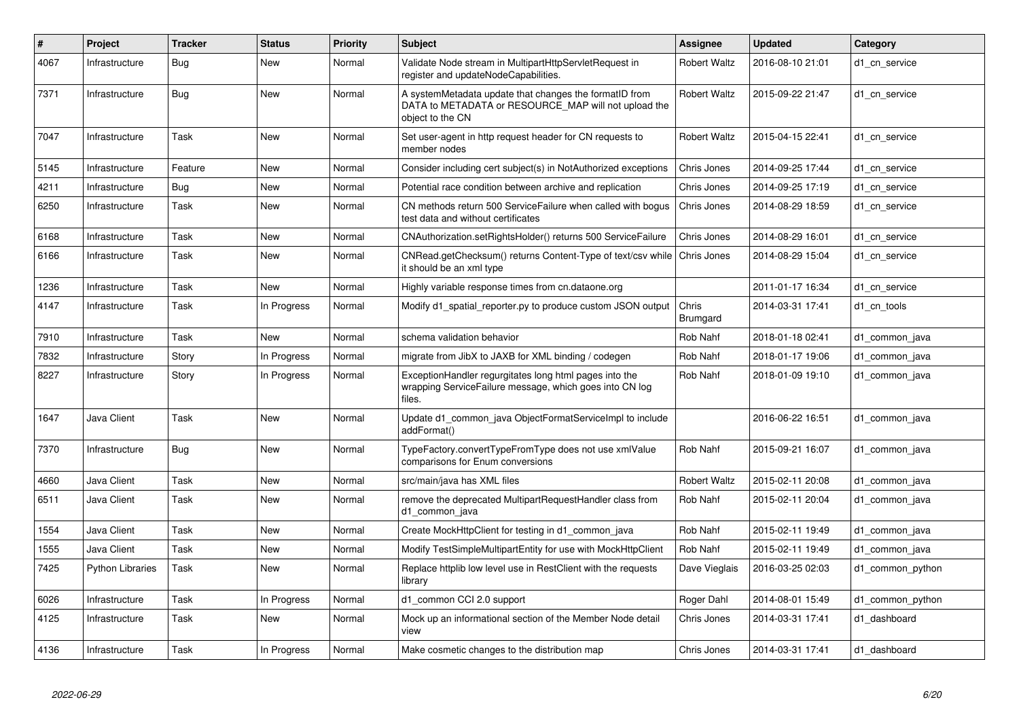| #    | Project                 | <b>Tracker</b> | <b>Status</b> | <b>Priority</b> | <b>Subject</b>                                                                                                                     | Assignee                 | Updated          | Category         |
|------|-------------------------|----------------|---------------|-----------------|------------------------------------------------------------------------------------------------------------------------------------|--------------------------|------------------|------------------|
| 4067 | Infrastructure          | <b>Bug</b>     | <b>New</b>    | Normal          | Validate Node stream in MultipartHttpServletRequest in<br>register and updateNodeCapabilities.                                     | <b>Robert Waltz</b>      | 2016-08-10 21:01 | d1 cn service    |
| 7371 | Infrastructure          | Bug            | New           | Normal          | A systemMetadata update that changes the formatID from<br>DATA to METADATA or RESOURCE_MAP will not upload the<br>object to the CN | <b>Robert Waltz</b>      | 2015-09-22 21:47 | d1_cn_service    |
| 7047 | Infrastructure          | Task           | <b>New</b>    | Normal          | Set user-agent in http request header for CN requests to<br>member nodes                                                           | <b>Robert Waltz</b>      | 2015-04-15 22:41 | d1 cn service    |
| 5145 | Infrastructure          | Feature        | <b>New</b>    | Normal          | Consider including cert subject(s) in NotAuthorized exceptions                                                                     | Chris Jones              | 2014-09-25 17:44 | d1_cn_service    |
| 4211 | Infrastructure          | <b>Bug</b>     | New           | Normal          | Potential race condition between archive and replication                                                                           | Chris Jones              | 2014-09-25 17:19 | d1 cn service    |
| 6250 | Infrastructure          | Task           | New           | Normal          | CN methods return 500 ServiceFailure when called with bogus<br>test data and without certificates                                  | Chris Jones              | 2014-08-29 18:59 | d1 cn service    |
| 6168 | Infrastructure          | Task           | <b>New</b>    | Normal          | CNAuthorization.setRightsHolder() returns 500 ServiceFailure                                                                       | Chris Jones              | 2014-08-29 16:01 | d1 cn service    |
| 6166 | Infrastructure          | Task           | <b>New</b>    | Normal          | CNRead.getChecksum() returns Content-Type of text/csv while<br>it should be an xml type                                            | Chris Jones              | 2014-08-29 15:04 | d1 cn service    |
| 1236 | Infrastructure          | Task           | <b>New</b>    | Normal          | Highly variable response times from cn.dataone.org                                                                                 |                          | 2011-01-17 16:34 | d1 cn service    |
| 4147 | Infrastructure          | Task           | In Progress   | Normal          | Modify d1_spatial_reporter.py to produce custom JSON output                                                                        | Chris<br><b>Brumgard</b> | 2014-03-31 17:41 | d1 cn tools      |
| 7910 | Infrastructure          | Task           | <b>New</b>    | Normal          | schema validation behavior                                                                                                         | Rob Nahf                 | 2018-01-18 02:41 | d1 common java   |
| 7832 | Infrastructure          | Story          | In Progress   | Normal          | migrate from JibX to JAXB for XML binding / codegen                                                                                | Rob Nahf                 | 2018-01-17 19:06 | d1 common java   |
| 8227 | Infrastructure          | Story          | In Progress   | Normal          | ExceptionHandler regurgitates long html pages into the<br>wrapping ServiceFailure message, which goes into CN log<br>files.        | Rob Nahf                 | 2018-01-09 19:10 | d1 common java   |
| 1647 | Java Client             | Task           | <b>New</b>    | Normal          | Update d1 common java ObjectFormatServiceImpl to include<br>addFormat()                                                            |                          | 2016-06-22 16:51 | d1 common java   |
| 7370 | Infrastructure          | Bug            | <b>New</b>    | Normal          | TypeFactory.convertTypeFromType does not use xmlValue<br>comparisons for Enum conversions                                          | Rob Nahf                 | 2015-09-21 16:07 | d1 common java   |
| 4660 | Java Client             | Task           | New           | Normal          | src/main/java has XML files                                                                                                        | <b>Robert Waltz</b>      | 2015-02-11 20:08 | d1 common java   |
| 6511 | Java Client             | Task           | <b>New</b>    | Normal          | remove the deprecated MultipartRequestHandler class from<br>d1 common java                                                         | Rob Nahf                 | 2015-02-11 20:04 | d1 common java   |
| 1554 | Java Client             | Task           | <b>New</b>    | Normal          | Create MockHttpClient for testing in d1 common java                                                                                | Rob Nahf                 | 2015-02-11 19:49 | d1_common_java   |
| 1555 | Java Client             | Task           | <b>New</b>    | Normal          | Modify TestSimpleMultipartEntity for use with MockHttpClient                                                                       | Rob Nahf                 | 2015-02-11 19:49 | d1 common java   |
| 7425 | <b>Python Libraries</b> | Task           | <b>New</b>    | Normal          | Replace httplib low level use in RestClient with the requests<br>library                                                           | Dave Vieglais            | 2016-03-25 02:03 | d1_common_python |
| 6026 | Infrastructure          | Task           | In Progress   | Normal          | d1 common CCI 2.0 support                                                                                                          | Roger Dahl               | 2014-08-01 15:49 | d1_common_python |
| 4125 | Infrastructure          | Task           | New           | Normal          | Mock up an informational section of the Member Node detail<br>view                                                                 | Chris Jones              | 2014-03-31 17:41 | d1 dashboard     |
| 4136 | Infrastructure          | Task           | In Progress   | Normal          | Make cosmetic changes to the distribution map                                                                                      | Chris Jones              | 2014-03-31 17:41 | d1 dashboard     |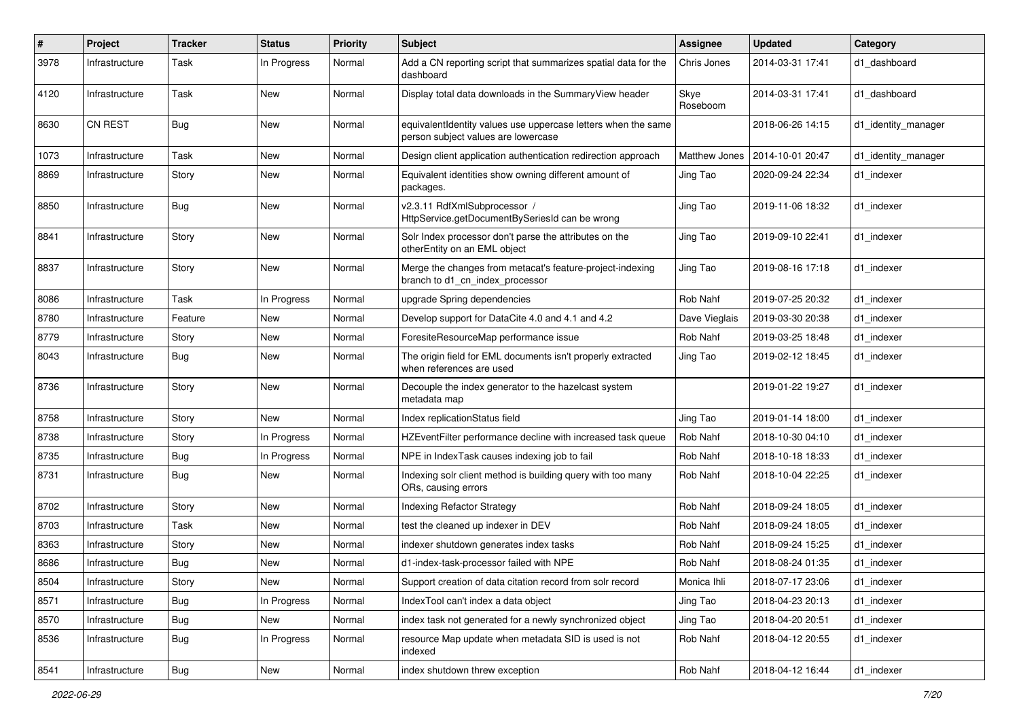| $\#$ | Project        | <b>Tracker</b> | <b>Status</b> | <b>Priority</b> | Subject                                                                                              | Assignee         | <b>Updated</b>   | Category            |
|------|----------------|----------------|---------------|-----------------|------------------------------------------------------------------------------------------------------|------------------|------------------|---------------------|
| 3978 | Infrastructure | Task           | In Progress   | Normal          | Add a CN reporting script that summarizes spatial data for the<br>dashboard                          | Chris Jones      | 2014-03-31 17:41 | d1 dashboard        |
| 4120 | Infrastructure | Task           | New           | Normal          | Display total data downloads in the SummaryView header                                               | Skye<br>Roseboom | 2014-03-31 17:41 | d1_dashboard        |
| 8630 | <b>CN REST</b> | Bug            | New           | Normal          | equivalentIdentity values use uppercase letters when the same<br>person subject values are lowercase |                  | 2018-06-26 14:15 | d1_identity_manager |
| 1073 | Infrastructure | Task           | <b>New</b>    | Normal          | Design client application authentication redirection approach                                        | Matthew Jones    | 2014-10-01 20:47 | d1_identity_manager |
| 8869 | Infrastructure | Story          | New           | Normal          | Equivalent identities show owning different amount of<br>packages.                                   | Jing Tao         | 2020-09-24 22:34 | d1 indexer          |
| 8850 | Infrastructure | <b>Bug</b>     | <b>New</b>    | Normal          | v2.3.11 RdfXmlSubprocessor /<br>HttpService.getDocumentBySeriesId can be wrong                       | Jing Tao         | 2019-11-06 18:32 | d1_indexer          |
| 8841 | Infrastructure | Story          | <b>New</b>    | Normal          | Solr Index processor don't parse the attributes on the<br>otherEntity on an EML object               | Jing Tao         | 2019-09-10 22:41 | d1_indexer          |
| 8837 | Infrastructure | Story          | <b>New</b>    | Normal          | Merge the changes from metacat's feature-project-indexing<br>branch to d1_cn_index_processor         | Jing Tao         | 2019-08-16 17:18 | d1_indexer          |
| 8086 | Infrastructure | Task           | In Progress   | Normal          | upgrade Spring dependencies                                                                          | Rob Nahf         | 2019-07-25 20:32 | d1_indexer          |
| 8780 | Infrastructure | Feature        | New           | Normal          | Develop support for DataCite 4.0 and 4.1 and 4.2                                                     | Dave Vieglais    | 2019-03-30 20:38 | d1 indexer          |
| 8779 | Infrastructure | Story          | New           | Normal          | ForesiteResourceMap performance issue                                                                | Rob Nahf         | 2019-03-25 18:48 | d1 indexer          |
| 8043 | Infrastructure | Bug            | New           | Normal          | The origin field for EML documents isn't properly extracted<br>when references are used              | Jing Tao         | 2019-02-12 18:45 | d1 indexer          |
| 8736 | Infrastructure | Story          | <b>New</b>    | Normal          | Decouple the index generator to the hazelcast system<br>metadata map                                 |                  | 2019-01-22 19:27 | d1_indexer          |
| 8758 | Infrastructure | Story          | <b>New</b>    | Normal          | Index replicationStatus field                                                                        | Jing Tao         | 2019-01-14 18:00 | d1_indexer          |
| 8738 | Infrastructure | Story          | In Progress   | Normal          | HZEventFilter performance decline with increased task queue                                          | Rob Nahf         | 2018-10-30 04:10 | d1_indexer          |
| 8735 | Infrastructure | <b>Bug</b>     | In Progress   | Normal          | NPE in IndexTask causes indexing job to fail                                                         | Rob Nahf         | 2018-10-18 18:33 | d1_indexer          |
| 8731 | Infrastructure | <b>Bug</b>     | New           | Normal          | Indexing solr client method is building query with too many<br>ORs, causing errors                   | Rob Nahf         | 2018-10-04 22:25 | d1 indexer          |
| 8702 | Infrastructure | Story          | <b>New</b>    | Normal          | <b>Indexing Refactor Strategy</b>                                                                    | Rob Nahf         | 2018-09-24 18:05 | d1_indexer          |
| 8703 | Infrastructure | Task           | <b>New</b>    | Normal          | test the cleaned up indexer in DEV                                                                   | Rob Nahf         | 2018-09-24 18:05 | d1_indexer          |
| 8363 | Infrastructure | Story          | New           | Normal          | indexer shutdown generates index tasks                                                               | Rob Nahf         | 2018-09-24 15:25 | d1 indexer          |
| 8686 | Infrastructure | Bug            | New           | Normal          | d1-index-task-processor failed with NPE                                                              | Rob Nahf         | 2018-08-24 01:35 | d1 indexer          |
| 8504 | Infrastructure | Story          | New           | Normal          | Support creation of data citation record from solr record                                            | Monica Ihli      | 2018-07-17 23:06 | d1 indexer          |
| 8571 | Infrastructure | <b>Bug</b>     | In Progress   | Normal          | IndexTool can't index a data object                                                                  | Jing Tao         | 2018-04-23 20:13 | d1_indexer          |
| 8570 | Infrastructure | Bug            | New           | Normal          | index task not generated for a newly synchronized object                                             | Jing Tao         | 2018-04-20 20:51 | d1_indexer          |
| 8536 | Infrastructure | Bug            | In Progress   | Normal          | resource Map update when metadata SID is used is not<br>indexed                                      | Rob Nahf         | 2018-04-12 20:55 | d1 indexer          |
| 8541 | Infrastructure | i Bug          | New           | Normal          | index shutdown threw exception                                                                       | Rob Nahf         | 2018-04-12 16:44 | d1_indexer          |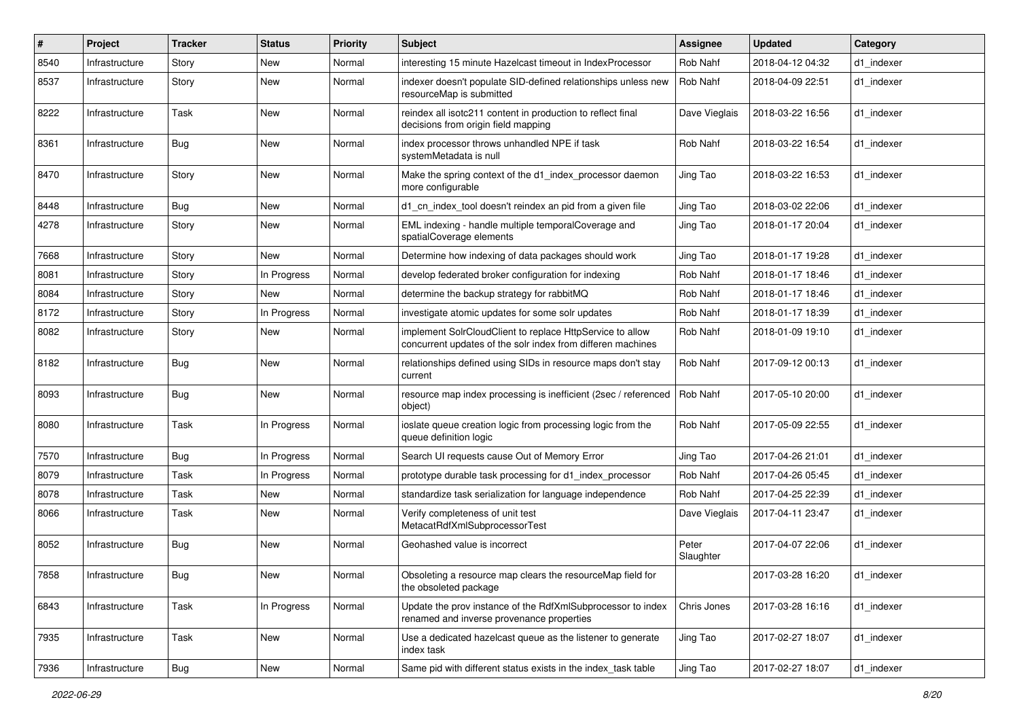| #    | Project        | <b>Tracker</b> | <b>Status</b> | <b>Priority</b> | Subject                                                                                                                  | <b>Assignee</b>    | <b>Updated</b>   | Category   |
|------|----------------|----------------|---------------|-----------------|--------------------------------------------------------------------------------------------------------------------------|--------------------|------------------|------------|
| 8540 | Infrastructure | Story          | New           | Normal          | interesting 15 minute Hazelcast timeout in IndexProcessor                                                                | Rob Nahf           | 2018-04-12 04:32 | d1 indexer |
| 8537 | Infrastructure | Story          | New           | Normal          | indexer doesn't populate SID-defined relationships unless new<br>resourceMap is submitted                                | Rob Nahf           | 2018-04-09 22:51 | d1_indexer |
| 8222 | Infrastructure | Task           | New           | Normal          | reindex all isotc211 content in production to reflect final<br>decisions from origin field mapping                       | Dave Vieglais      | 2018-03-22 16:56 | d1 indexer |
| 8361 | Infrastructure | Bug            | New           | Normal          | index processor throws unhandled NPE if task<br>systemMetadata is null                                                   | Rob Nahf           | 2018-03-22 16:54 | d1_indexer |
| 8470 | Infrastructure | Story          | New           | Normal          | Make the spring context of the d1_index_processor daemon<br>more configurable                                            | Jing Tao           | 2018-03-22 16:53 | d1_indexer |
| 8448 | Infrastructure | <b>Bug</b>     | New           | Normal          | d1_cn_index_tool doesn't reindex an pid from a given file                                                                | Jing Tao           | 2018-03-02 22:06 | d1_indexer |
| 4278 | Infrastructure | Story          | New           | Normal          | EML indexing - handle multiple temporalCoverage and<br>spatialCoverage elements                                          | Jing Tao           | 2018-01-17 20:04 | d1 indexer |
| 7668 | Infrastructure | Story          | <b>New</b>    | Normal          | Determine how indexing of data packages should work                                                                      | Jing Tao           | 2018-01-17 19:28 | d1_indexer |
| 8081 | Infrastructure | Story          | In Progress   | Normal          | develop federated broker configuration for indexing                                                                      | Rob Nahf           | 2018-01-17 18:46 | d1 indexer |
| 8084 | Infrastructure | Story          | New           | Normal          | determine the backup strategy for rabbitMQ                                                                               | Rob Nahf           | 2018-01-17 18:46 | d1 indexer |
| 8172 | Infrastructure | Story          | In Progress   | Normal          | investigate atomic updates for some solr updates                                                                         | Rob Nahf           | 2018-01-17 18:39 | d1 indexer |
| 8082 | Infrastructure | Story          | New           | Normal          | implement SolrCloudClient to replace HttpService to allow<br>concurrent updates of the solr index from differen machines | Rob Nahf           | 2018-01-09 19:10 | d1 indexer |
| 8182 | Infrastructure | Bug            | New           | Normal          | relationships defined using SIDs in resource maps don't stay<br>current                                                  | Rob Nahf           | 2017-09-12 00:13 | d1_indexer |
| 8093 | Infrastructure | Bug            | New           | Normal          | resource map index processing is inefficient (2sec / referenced<br>object)                                               | Rob Nahf           | 2017-05-10 20:00 | d1_indexer |
| 8080 | Infrastructure | Task           | In Progress   | Normal          | ioslate queue creation logic from processing logic from the<br>queue definition logic                                    | Rob Nahf           | 2017-05-09 22:55 | d1 indexer |
| 7570 | Infrastructure | Bug            | In Progress   | Normal          | Search UI requests cause Out of Memory Error                                                                             | Jing Tao           | 2017-04-26 21:01 | d1 indexer |
| 8079 | Infrastructure | Task           | In Progress   | Normal          | prototype durable task processing for d1_index_processor                                                                 | Rob Nahf           | 2017-04-26 05:45 | d1 indexer |
| 8078 | Infrastructure | Task           | New           | Normal          | standardize task serialization for language independence                                                                 | Rob Nahf           | 2017-04-25 22:39 | d1 indexer |
| 8066 | Infrastructure | Task           | New           | Normal          | Verify completeness of unit test<br>MetacatRdfXmlSubprocessorTest                                                        | Dave Vieglais      | 2017-04-11 23:47 | d1 indexer |
| 8052 | Infrastructure | Bug            | New           | Normal          | Geohashed value is incorrect                                                                                             | Peter<br>Slaughter | 2017-04-07 22:06 | d1_indexer |
| 7858 | Infrastructure | Bug            | New           | Normal          | Obsoleting a resource map clears the resourceMap field for<br>the obsoleted package                                      |                    | 2017-03-28 16:20 | d1_indexer |
| 6843 | Infrastructure | Task           | In Progress   | Normal          | Update the prov instance of the RdfXmlSubprocessor to index<br>renamed and inverse provenance properties                 | Chris Jones        | 2017-03-28 16:16 | d1_indexer |
| 7935 | Infrastructure | Task           | New           | Normal          | Use a dedicated hazelcast queue as the listener to generate<br>index task                                                | Jing Tao           | 2017-02-27 18:07 | d1 indexer |
| 7936 | Infrastructure | <b>Bug</b>     | New           | Normal          | Same pid with different status exists in the index task table                                                            | Jing Tao           | 2017-02-27 18:07 | d1 indexer |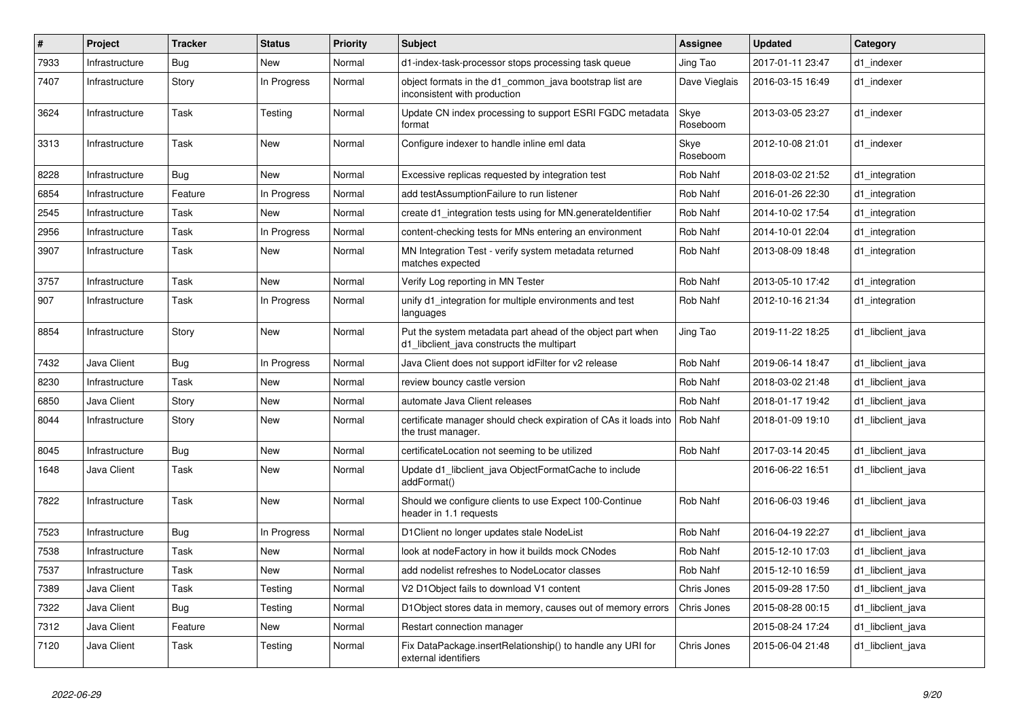| $\#$ | Project        | <b>Tracker</b> | <b>Status</b> | <b>Priority</b> | <b>Subject</b>                                                                                           | <b>Assignee</b>  | <b>Updated</b>   | Category          |
|------|----------------|----------------|---------------|-----------------|----------------------------------------------------------------------------------------------------------|------------------|------------------|-------------------|
| 7933 | Infrastructure | Bug            | <b>New</b>    | Normal          | d1-index-task-processor stops processing task queue                                                      | Jing Tao         | 2017-01-11 23:47 | d1 indexer        |
| 7407 | Infrastructure | Story          | In Progress   | Normal          | object formats in the d1 common java bootstrap list are<br>inconsistent with production                  | Dave Vieglais    | 2016-03-15 16:49 | d1 indexer        |
| 3624 | Infrastructure | Task           | Testing       | Normal          | Update CN index processing to support ESRI FGDC metadata<br>format                                       | Skye<br>Roseboom | 2013-03-05 23:27 | d1_indexer        |
| 3313 | Infrastructure | Task           | <b>New</b>    | Normal          | Configure indexer to handle inline eml data                                                              | Skye<br>Roseboom | 2012-10-08 21:01 | d1 indexer        |
| 8228 | Infrastructure | Bug            | <b>New</b>    | Normal          | Excessive replicas requested by integration test                                                         | Rob Nahf         | 2018-03-02 21:52 | d1_integration    |
| 6854 | Infrastructure | Feature        | In Progress   | Normal          | add testAssumptionFailure to run listener                                                                | Rob Nahf         | 2016-01-26 22:30 | d1 integration    |
| 2545 | Infrastructure | Task           | New           | Normal          | create d1 integration tests using for MN generate dentifier                                              | Rob Nahf         | 2014-10-02 17:54 | d1 integration    |
| 2956 | Infrastructure | Task           | In Progress   | Normal          | content-checking tests for MNs entering an environment                                                   | Rob Nahf         | 2014-10-01 22:04 | d1 integration    |
| 3907 | Infrastructure | Task           | New           | Normal          | MN Integration Test - verify system metadata returned<br>matches expected                                | Rob Nahf         | 2013-08-09 18:48 | d1 integration    |
| 3757 | Infrastructure | Task           | <b>New</b>    | Normal          | Verify Log reporting in MN Tester                                                                        | <b>Rob Nahf</b>  | 2013-05-10 17:42 | d1_integration    |
| 907  | Infrastructure | Task           | In Progress   | Normal          | unify d1 integration for multiple environments and test<br>languages                                     | <b>Rob Nahf</b>  | 2012-10-16 21:34 | d1 integration    |
| 8854 | Infrastructure | Story          | <b>New</b>    | Normal          | Put the system metadata part ahead of the object part when<br>d1 libclient java constructs the multipart | Jing Tao         | 2019-11-22 18:25 | d1 libclient java |
| 7432 | Java Client    | Bug            | In Progress   | Normal          | Java Client does not support idFilter for v2 release                                                     | Rob Nahf         | 2019-06-14 18:47 | d1 libclient java |
| 8230 | Infrastructure | Task           | <b>New</b>    | Normal          | review bouncy castle version                                                                             | Rob Nahf         | 2018-03-02 21:48 | d1 libclient java |
| 6850 | Java Client    | Story          | <b>New</b>    | Normal          | automate Java Client releases                                                                            | Rob Nahf         | 2018-01-17 19:42 | d1 libclient java |
| 8044 | Infrastructure | Story          | <b>New</b>    | Normal          | certificate manager should check expiration of CAs it loads into<br>the trust manager.                   | <b>Rob Nahf</b>  | 2018-01-09 19:10 | d1 libclient java |
| 8045 | Infrastructure | Bug            | <b>New</b>    | Normal          | certificateLocation not seeming to be utilized                                                           | Rob Nahf         | 2017-03-14 20:45 | d1_libclient_java |
| 1648 | Java Client    | Task           | <b>New</b>    | Normal          | Update d1 libclient java ObjectFormatCache to include<br>addFormat()                                     |                  | 2016-06-22 16:51 | d1 libclient java |
| 7822 | Infrastructure | Task           | <b>New</b>    | Normal          | Should we configure clients to use Expect 100-Continue<br>header in 1.1 requests                         | Rob Nahf         | 2016-06-03 19:46 | d1 libclient java |
| 7523 | Infrastructure | Bug            | In Progress   | Normal          | D1Client no longer updates stale NodeList                                                                | Rob Nahf         | 2016-04-19 22:27 | d1_libclient_java |
| 7538 | Infrastructure | Task           | <b>New</b>    | Normal          | look at nodeFactory in how it builds mock CNodes                                                         | Rob Nahf         | 2015-12-10 17:03 | d1_libclient_java |
| 7537 | Infrastructure | Task           | <b>New</b>    | Normal          | add nodelist refreshes to NodeLocator classes                                                            | Rob Nahf         | 2015-12-10 16:59 | d1_libclient_java |
| 7389 | Java Client    | Task           | Testing       | Normal          | V2 D1Object fails to download V1 content                                                                 | Chris Jones      | 2015-09-28 17:50 | d1_libclient_java |
| 7322 | Java Client    | <b>Bug</b>     | Testing       | Normal          | D1Object stores data in memory, causes out of memory errors                                              | Chris Jones      | 2015-08-28 00:15 | d1_libclient_java |
| 7312 | Java Client    | Feature        | New           | Normal          | Restart connection manager                                                                               |                  | 2015-08-24 17:24 | d1 libclient java |
| 7120 | Java Client    | Task           | Testing       | Normal          | Fix DataPackage.insertRelationship() to handle any URI for<br>external identifiers                       | Chris Jones      | 2015-06-04 21:48 | d1 libclient java |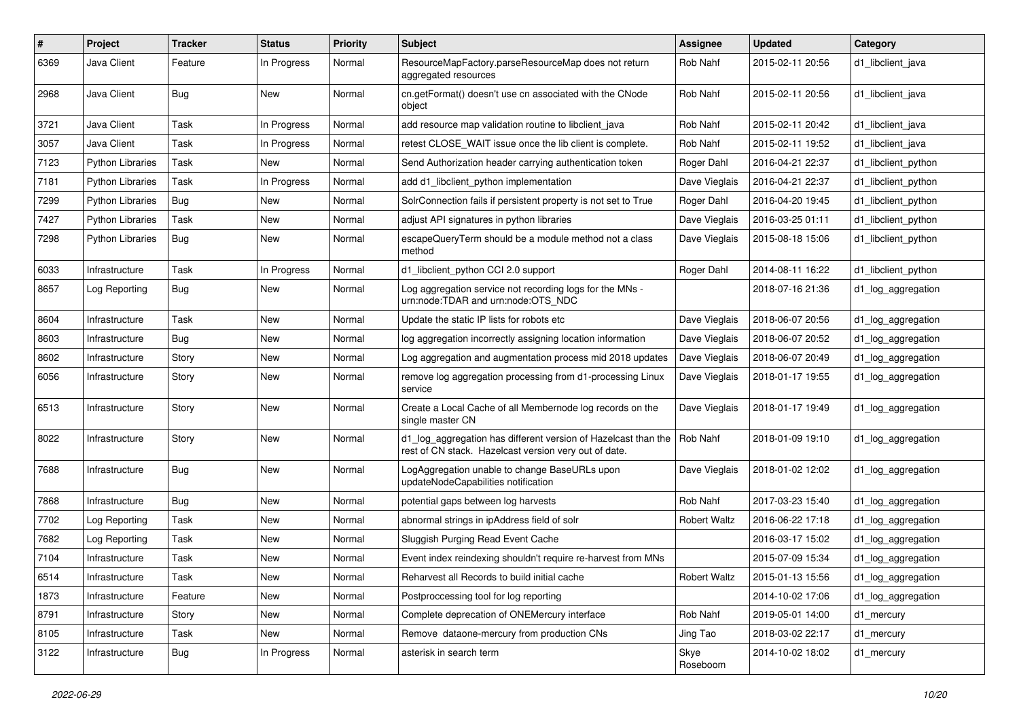| #    | Project                 | <b>Tracker</b> | <b>Status</b> | <b>Priority</b> | <b>Subject</b>                                                                                                          | <b>Assignee</b>     | <b>Updated</b>   | Category            |
|------|-------------------------|----------------|---------------|-----------------|-------------------------------------------------------------------------------------------------------------------------|---------------------|------------------|---------------------|
| 6369 | Java Client             | Feature        | In Progress   | Normal          | ResourceMapFactory.parseResourceMap does not return<br>aggregated resources                                             | Rob Nahf            | 2015-02-11 20:56 | d1 libclient java   |
| 2968 | Java Client             | Bug            | New           | Normal          | cn.getFormat() doesn't use cn associated with the CNode<br>object                                                       | Rob Nahf            | 2015-02-11 20:56 | d1 libclient java   |
| 3721 | Java Client             | Task           | In Progress   | Normal          | add resource map validation routine to libclient java                                                                   | Rob Nahf            | 2015-02-11 20:42 | d1 libclient java   |
| 3057 | Java Client             | Task           | In Progress   | Normal          | retest CLOSE WAIT issue once the lib client is complete.                                                                | Rob Nahf            | 2015-02-11 19:52 | d1 libclient java   |
| 7123 | <b>Python Libraries</b> | Task           | New           | Normal          | Send Authorization header carrying authentication token                                                                 | Roger Dahl          | 2016-04-21 22:37 | d1 libclient python |
| 7181 | Python Libraries        | Task           | In Progress   | Normal          | add d1 libclient python implementation                                                                                  | Dave Vieglais       | 2016-04-21 22:37 | d1 libclient python |
| 7299 | <b>Python Libraries</b> | <b>Bug</b>     | New           | Normal          | SolrConnection fails if persistent property is not set to True                                                          | Roger Dahl          | 2016-04-20 19:45 | d1_libclient_python |
| 7427 | <b>Python Libraries</b> | Task           | New           | Normal          | adjust API signatures in python libraries                                                                               | Dave Vieglais       | 2016-03-25 01:11 | d1_libclient_python |
| 7298 | Python Libraries        | Bug            | New           | Normal          | escapeQueryTerm should be a module method not a class<br>method                                                         | Dave Vieglais       | 2015-08-18 15:06 | d1_libclient_python |
| 6033 | Infrastructure          | Task           | In Progress   | Normal          | d1_libclient_python CCI 2.0 support                                                                                     | Roger Dahl          | 2014-08-11 16:22 | d1 libclient python |
| 8657 | Log Reporting           | <b>Bug</b>     | New           | Normal          | Log aggregation service not recording logs for the MNs -<br>urn:node:TDAR and urn:node:OTS_NDC                          |                     | 2018-07-16 21:36 | d1_log_aggregation  |
| 8604 | Infrastructure          | Task           | New           | Normal          | Update the static IP lists for robots etc                                                                               | Dave Vieglais       | 2018-06-07 20:56 | d1_log_aggregation  |
| 8603 | Infrastructure          | <b>Bug</b>     | New           | Normal          | log aggregation incorrectly assigning location information                                                              | Dave Vieglais       | 2018-06-07 20:52 | d1_log_aggregation  |
| 8602 | Infrastructure          | Story          | New           | Normal          | Log aggregation and augmentation process mid 2018 updates                                                               | Dave Vieglais       | 2018-06-07 20:49 | d1_log_aggregation  |
| 6056 | Infrastructure          | Story          | New           | Normal          | remove log aggregation processing from d1-processing Linux<br>service                                                   | Dave Vieglais       | 2018-01-17 19:55 | d1_log_aggregation  |
| 6513 | Infrastructure          | Story          | New           | Normal          | Create a Local Cache of all Membernode log records on the<br>single master CN                                           | Dave Vieglais       | 2018-01-17 19:49 | d1_log_aggregation  |
| 8022 | Infrastructure          | Story          | New           | Normal          | d1_log_aggregation has different version of Hazelcast than the<br>rest of CN stack. Hazelcast version very out of date. | Rob Nahf            | 2018-01-09 19:10 | d1_log_aggregation  |
| 7688 | Infrastructure          | Bug            | New           | Normal          | LogAggregation unable to change BaseURLs upon<br>updateNodeCapabilities notification                                    | Dave Vieglais       | 2018-01-02 12:02 | d1_log_aggregation  |
| 7868 | Infrastructure          | <b>Bug</b>     | New           | Normal          | potential gaps between log harvests                                                                                     | Rob Nahf            | 2017-03-23 15:40 | d1_log_aggregation  |
| 7702 | Log Reporting           | Task           | New           | Normal          | abnormal strings in ipAddress field of solr                                                                             | <b>Robert Waltz</b> | 2016-06-22 17:18 | d1_log_aggregation  |
| 7682 | Log Reporting           | Task           | New           | Normal          | Sluggish Purging Read Event Cache                                                                                       |                     | 2016-03-17 15:02 | d1_log_aggregation  |
| 7104 | Infrastructure          | Task           | New           | Normal          | Event index reindexing shouldn't require re-harvest from MNs                                                            |                     | 2015-07-09 15:34 | d1_log_aggregation  |
| 6514 | Infrastructure          | Task           | New           | Normal          | Reharvest all Records to build initial cache                                                                            | <b>Robert Waltz</b> | 2015-01-13 15:56 | d1_log_aggregation  |
| 1873 | Infrastructure          | Feature        | New           | Normal          | Postproccessing tool for log reporting                                                                                  |                     | 2014-10-02 17:06 | d1_log_aggregation  |
| 8791 | Infrastructure          | Story          | New           | Normal          | Complete deprecation of ONEMercury interface                                                                            | Rob Nahf            | 2019-05-01 14:00 | d1_mercury          |
| 8105 | Infrastructure          | Task           | New           | Normal          | Remove dataone-mercury from production CNs                                                                              | Jing Tao            | 2018-03-02 22:17 | d1_mercury          |
| 3122 | Infrastructure          | <b>Bug</b>     | In Progress   | Normal          | asterisk in search term                                                                                                 | Skye<br>Roseboom    | 2014-10-02 18:02 | d1_mercury          |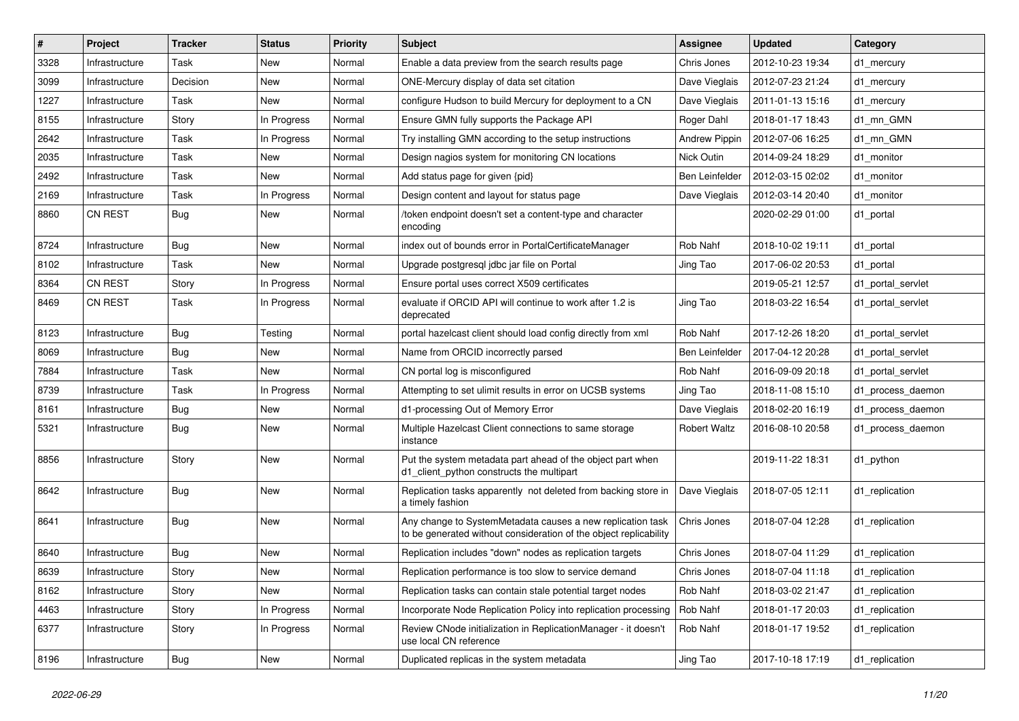| #    | Project        | <b>Tracker</b> | <b>Status</b> | <b>Priority</b> | <b>Subject</b>                                                                                                                  | Assignee            | <b>Updated</b>   | Category          |
|------|----------------|----------------|---------------|-----------------|---------------------------------------------------------------------------------------------------------------------------------|---------------------|------------------|-------------------|
| 3328 | Infrastructure | Task           | New           | Normal          | Enable a data preview from the search results page                                                                              | Chris Jones         | 2012-10-23 19:34 | d1 mercury        |
| 3099 | Infrastructure | Decision       | <b>New</b>    | Normal          | ONE-Mercury display of data set citation                                                                                        | Dave Vieglais       | 2012-07-23 21:24 | d1 mercury        |
| 1227 | Infrastructure | Task           | New           | Normal          | configure Hudson to build Mercury for deployment to a CN                                                                        | Dave Vieglais       | 2011-01-13 15:16 | d1 mercury        |
| 8155 | Infrastructure | Story          | In Progress   | Normal          | Ensure GMN fully supports the Package API                                                                                       | Roger Dahl          | 2018-01-17 18:43 | d1 mn GMN         |
| 2642 | Infrastructure | Task           | In Progress   | Normal          | Try installing GMN according to the setup instructions                                                                          | Andrew Pippin       | 2012-07-06 16:25 | d1 mn GMN         |
| 2035 | Infrastructure | Task           | New           | Normal          | Design nagios system for monitoring CN locations                                                                                | Nick Outin          | 2014-09-24 18:29 | d1 monitor        |
| 2492 | Infrastructure | Task           | New           | Normal          | Add status page for given {pid}                                                                                                 | Ben Leinfelder      | 2012-03-15 02:02 | d1 monitor        |
| 2169 | Infrastructure | Task           | In Progress   | Normal          | Design content and layout for status page                                                                                       | Dave Vieglais       | 2012-03-14 20:40 | d1 monitor        |
| 8860 | <b>CN REST</b> | <b>Bug</b>     | <b>New</b>    | Normal          | /token endpoint doesn't set a content-type and character<br>encoding                                                            |                     | 2020-02-29 01:00 | d1_portal         |
| 8724 | Infrastructure | Bug            | New           | Normal          | index out of bounds error in PortalCertificateManager                                                                           | Rob Nahf            | 2018-10-02 19:11 | d1_portal         |
| 8102 | Infrastructure | Task           | New           | Normal          | Upgrade postgresql jdbc jar file on Portal                                                                                      | Jing Tao            | 2017-06-02 20:53 | d1_portal         |
| 8364 | <b>CN REST</b> | Story          | In Progress   | Normal          | Ensure portal uses correct X509 certificates                                                                                    |                     | 2019-05-21 12:57 | d1 portal servlet |
| 8469 | <b>CN REST</b> | Task           | In Progress   | Normal          | evaluate if ORCID API will continue to work after 1.2 is<br>deprecated                                                          | Jing Tao            | 2018-03-22 16:54 | d1_portal_servlet |
| 8123 | Infrastructure | <b>Bug</b>     | Testing       | Normal          | portal hazelcast client should load config directly from xml                                                                    | Rob Nahf            | 2017-12-26 18:20 | d1 portal servlet |
| 8069 | Infrastructure | Bug            | <b>New</b>    | Normal          | Name from ORCID incorrectly parsed                                                                                              | Ben Leinfelder      | 2017-04-12 20:28 | d1 portal servlet |
| 7884 | Infrastructure | Task           | <b>New</b>    | Normal          | CN portal log is misconfigured                                                                                                  | Rob Nahf            | 2016-09-09 20:18 | d1 portal servlet |
| 8739 | Infrastructure | Task           | In Progress   | Normal          | Attempting to set ulimit results in error on UCSB systems                                                                       | Jing Tao            | 2018-11-08 15:10 | d1 process daemon |
| 8161 | Infrastructure | <b>Bug</b>     | New           | Normal          | d1-processing Out of Memory Error                                                                                               | Dave Vieglais       | 2018-02-20 16:19 | d1_process_daemon |
| 5321 | Infrastructure | Bug            | <b>New</b>    | Normal          | Multiple Hazelcast Client connections to same storage<br>instance                                                               | <b>Robert Waltz</b> | 2016-08-10 20:58 | d1 process daemon |
| 8856 | Infrastructure | Story          | <b>New</b>    | Normal          | Put the system metadata part ahead of the object part when<br>d1_client_python constructs the multipart                         |                     | 2019-11-22 18:31 | d1_python         |
| 8642 | Infrastructure | Bug            | New           | Normal          | Replication tasks apparently not deleted from backing store in<br>a timely fashion                                              | Dave Vieglais       | 2018-07-05 12:11 | d1_replication    |
| 8641 | Infrastructure | Bug            | <b>New</b>    | Normal          | Any change to SystemMetadata causes a new replication task<br>to be generated without consideration of the object replicability | Chris Jones         | 2018-07-04 12:28 | d1_replication    |
| 8640 | Infrastructure | Bug            | New           | Normal          | Replication includes "down" nodes as replication targets                                                                        | Chris Jones         | 2018-07-04 11:29 | d1 replication    |
| 8639 | Infrastructure | Story          | New           | Normal          | Replication performance is too slow to service demand                                                                           | Chris Jones         | 2018-07-04 11:18 | d1_replication    |
| 8162 | Infrastructure | Story          | New           | Normal          | Replication tasks can contain stale potential target nodes                                                                      | Rob Nahf            | 2018-03-02 21:47 | d1_replication    |
| 4463 | Infrastructure | Story          | In Progress   | Normal          | Incorporate Node Replication Policy into replication processing                                                                 | Rob Nahf            | 2018-01-17 20:03 | d1_replication    |
| 6377 | Infrastructure | Story          | In Progress   | Normal          | Review CNode initialization in ReplicationManager - it doesn't<br>use local CN reference                                        | Rob Nahf            | 2018-01-17 19:52 | d1_replication    |
| 8196 | Infrastructure | <b>Bug</b>     | New           | Normal          | Duplicated replicas in the system metadata                                                                                      | Jing Tao            | 2017-10-18 17:19 | d1_replication    |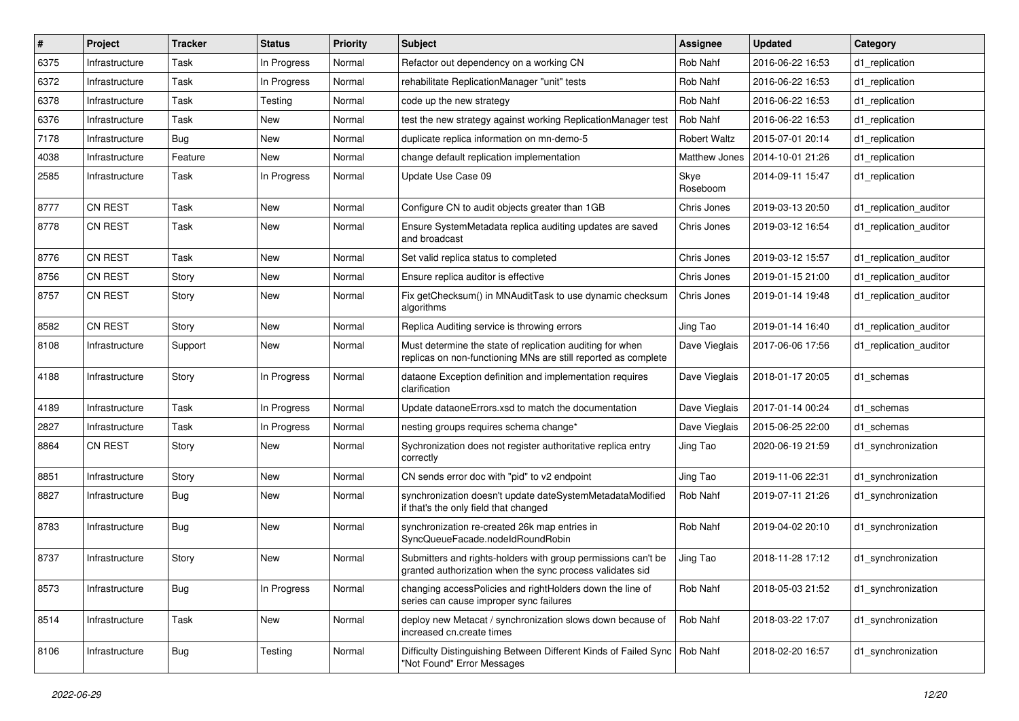| #    | Project        | <b>Tracker</b> | <b>Status</b> | <b>Priority</b> | Subject                                                                                                                     | <b>Assignee</b>     | <b>Updated</b>   | Category               |
|------|----------------|----------------|---------------|-----------------|-----------------------------------------------------------------------------------------------------------------------------|---------------------|------------------|------------------------|
| 6375 | Infrastructure | Task           | In Progress   | Normal          | Refactor out dependency on a working CN                                                                                     | Rob Nahf            | 2016-06-22 16:53 | d1 replication         |
| 6372 | Infrastructure | Task           | In Progress   | Normal          | rehabilitate ReplicationManager "unit" tests                                                                                | Rob Nahf            | 2016-06-22 16:53 | d1 replication         |
| 6378 | Infrastructure | Task           | Testing       | Normal          | code up the new strategy                                                                                                    | Rob Nahf            | 2016-06-22 16:53 | d1_replication         |
| 6376 | Infrastructure | Task           | New           | Normal          | test the new strategy against working ReplicationManager test                                                               | Rob Nahf            | 2016-06-22 16:53 | d1 replication         |
| 7178 | Infrastructure | Bug            | New           | Normal          | duplicate replica information on mn-demo-5                                                                                  | <b>Robert Waltz</b> | 2015-07-01 20:14 | d1 replication         |
| 4038 | Infrastructure | Feature        | New           | Normal          | change default replication implementation                                                                                   | Matthew Jones       | 2014-10-01 21:26 | d1 replication         |
| 2585 | Infrastructure | Task           | In Progress   | Normal          | Update Use Case 09                                                                                                          | Skye<br>Roseboom    | 2014-09-11 15:47 | d1 replication         |
| 8777 | <b>CN REST</b> | Task           | New           | Normal          | Configure CN to audit objects greater than 1GB                                                                              | Chris Jones         | 2019-03-13 20:50 | d1_replication_auditor |
| 8778 | <b>CN REST</b> | Task           | New           | Normal          | Ensure SystemMetadata replica auditing updates are saved<br>and broadcast                                                   | Chris Jones         | 2019-03-12 16:54 | d1 replication auditor |
| 8776 | CN REST        | Task           | New           | Normal          | Set valid replica status to completed                                                                                       | Chris Jones         | 2019-03-12 15:57 | d1_replication_auditor |
| 8756 | <b>CN REST</b> | Story          | New           | Normal          | Ensure replica auditor is effective                                                                                         | Chris Jones         | 2019-01-15 21:00 | d1 replication auditor |
| 8757 | CN REST        | Story          | New           | Normal          | Fix getChecksum() in MNAuditTask to use dynamic checksum<br>algorithms                                                      | Chris Jones         | 2019-01-14 19:48 | d1 replication auditor |
| 8582 | CN REST        | Story          | New           | Normal          | Replica Auditing service is throwing errors                                                                                 | Jing Tao            | 2019-01-14 16:40 | d1 replication auditor |
| 8108 | Infrastructure | Support        | New           | Normal          | Must determine the state of replication auditing for when<br>replicas on non-functioning MNs are still reported as complete | Dave Vieglais       | 2017-06-06 17:56 | d1_replication_auditor |
| 4188 | Infrastructure | Story          | In Progress   | Normal          | dataone Exception definition and implementation requires<br>clarification                                                   | Dave Vieglais       | 2018-01-17 20:05 | d1_schemas             |
| 4189 | Infrastructure | Task           | In Progress   | Normal          | Update dataoneErrors.xsd to match the documentation                                                                         | Dave Vieglais       | 2017-01-14 00:24 | d1_schemas             |
| 2827 | Infrastructure | Task           | In Progress   | Normal          | nesting groups requires schema change*                                                                                      | Dave Vieglais       | 2015-06-25 22:00 | d1 schemas             |
| 8864 | <b>CN REST</b> | Story          | New           | Normal          | Sychronization does not register authoritative replica entry<br>correctly                                                   | Jing Tao            | 2020-06-19 21:59 | d1_synchronization     |
| 8851 | Infrastructure | Story          | New           | Normal          | CN sends error doc with "pid" to v2 endpoint                                                                                | Jing Tao            | 2019-11-06 22:31 | d1_synchronization     |
| 8827 | Infrastructure | <b>Bug</b>     | New           | Normal          | synchronization doesn't update dateSystemMetadataModified<br>if that's the only field that changed                          | Rob Nahf            | 2019-07-11 21:26 | d1 synchronization     |
| 8783 | Infrastructure | Bug            | New           | Normal          | synchronization re-created 26k map entries in<br>SyncQueueFacade.nodeIdRoundRobin                                           | Rob Nahf            | 2019-04-02 20:10 | d1 synchronization     |
| 8737 | Infrastructure | Story          | New           | Normal          | Submitters and rights-holders with group permissions can't be<br>granted authorization when the sync process validates sid  | Jing Tao            | 2018-11-28 17:12 | d1_synchronization     |
| 8573 | Infrastructure | <b>Bug</b>     | In Progress   | Normal          | changing accessPolicies and rightHolders down the line of<br>series can cause improper sync failures                        | Rob Nahf            | 2018-05-03 21:52 | d1_synchronization     |
| 8514 | Infrastructure | Task           | New           | Normal          | deploy new Metacat / synchronization slows down because of<br>increased cn.create times                                     | Rob Nahf            | 2018-03-22 17:07 | d1_synchronization     |
| 8106 | Infrastructure | <b>Bug</b>     | Testing       | Normal          | Difficulty Distinguishing Between Different Kinds of Failed Sync<br>"Not Found" Error Messages                              | Rob Nahf            | 2018-02-20 16:57 | d1_synchronization     |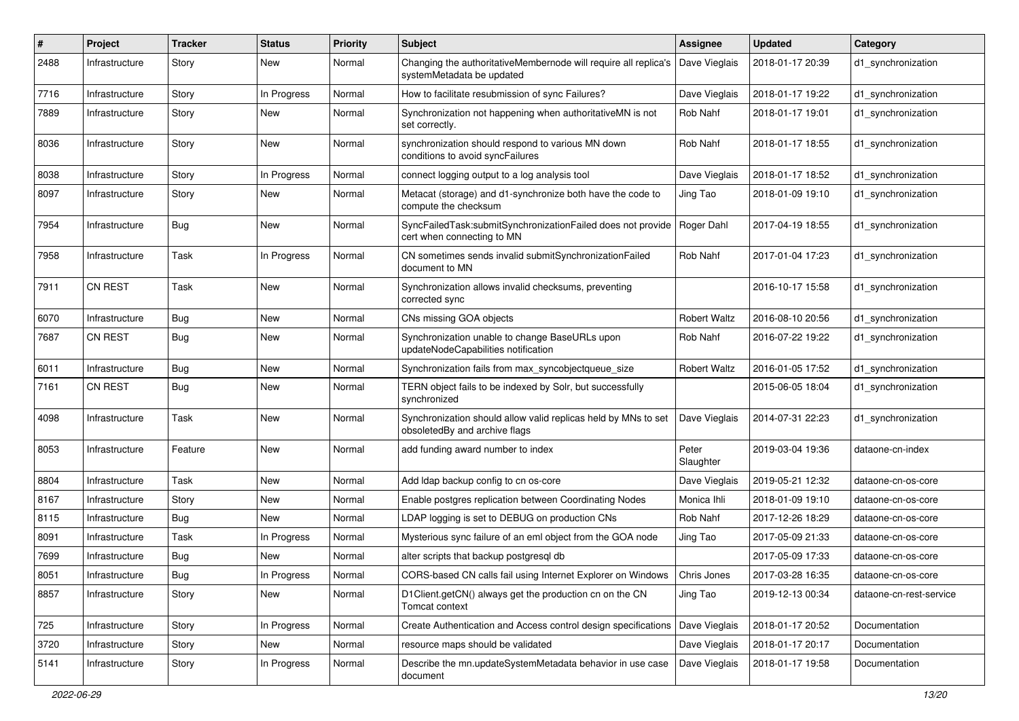| #    | Project        | <b>Tracker</b> | <b>Status</b> | <b>Priority</b> | <b>Subject</b>                                                                                  | <b>Assignee</b>     | <b>Updated</b>   | Category                |
|------|----------------|----------------|---------------|-----------------|-------------------------------------------------------------------------------------------------|---------------------|------------------|-------------------------|
| 2488 | Infrastructure | Story          | New           | Normal          | Changing the authoritativeMembernode will require all replica's<br>systemMetadata be updated    | Dave Vieglais       | 2018-01-17 20:39 | d1_synchronization      |
| 7716 | Infrastructure | Story          | In Progress   | Normal          | How to facilitate resubmission of sync Failures?                                                | Dave Vieglais       | 2018-01-17 19:22 | d1 synchronization      |
| 7889 | Infrastructure | Story          | New           | Normal          | Synchronization not happening when authoritativeMN is not<br>set correctly.                     | Rob Nahf            | 2018-01-17 19:01 | d1_synchronization      |
| 8036 | Infrastructure | Story          | New           | Normal          | synchronization should respond to various MN down<br>conditions to avoid syncFailures           | Rob Nahf            | 2018-01-17 18:55 | d1_synchronization      |
| 8038 | Infrastructure | Story          | In Progress   | Normal          | connect logging output to a log analysis tool                                                   | Dave Vieglais       | 2018-01-17 18:52 | d1_synchronization      |
| 8097 | Infrastructure | Story          | New           | Normal          | Metacat (storage) and d1-synchronize both have the code to<br>compute the checksum              | Jing Tao            | 2018-01-09 19:10 | d1 synchronization      |
| 7954 | Infrastructure | <b>Bug</b>     | New           | Normal          | SyncFailedTask:submitSynchronizationFailed does not provide<br>cert when connecting to MN       | Roger Dahl          | 2017-04-19 18:55 | d1_synchronization      |
| 7958 | Infrastructure | Task           | In Progress   | Normal          | CN sometimes sends invalid submitSynchronizationFailed<br>document to MN                        | Rob Nahf            | 2017-01-04 17:23 | d1_synchronization      |
| 7911 | <b>CN REST</b> | Task           | New           | Normal          | Synchronization allows invalid checksums, preventing<br>corrected sync                          |                     | 2016-10-17 15:58 | d1_synchronization      |
| 6070 | Infrastructure | <b>Bug</b>     | New           | Normal          | CNs missing GOA objects                                                                         | <b>Robert Waltz</b> | 2016-08-10 20:56 | d1 synchronization      |
| 7687 | <b>CN REST</b> | Bug            | New           | Normal          | Synchronization unable to change BaseURLs upon<br>updateNodeCapabilities notification           | Rob Nahf            | 2016-07-22 19:22 | d1 synchronization      |
| 6011 | Infrastructure | <b>Bug</b>     | New           | Normal          | Synchronization fails from max_syncobjectqueue_size                                             | <b>Robert Waltz</b> | 2016-01-05 17:52 | d1 synchronization      |
| 7161 | <b>CN REST</b> | Bug            | New           | Normal          | TERN object fails to be indexed by Solr, but successfully<br>synchronized                       |                     | 2015-06-05 18:04 | d1 synchronization      |
| 4098 | Infrastructure | Task           | New           | Normal          | Synchronization should allow valid replicas held by MNs to set<br>obsoletedBy and archive flags | Dave Vieglais       | 2014-07-31 22:23 | d1_synchronization      |
| 8053 | Infrastructure | Feature        | New           | Normal          | add funding award number to index                                                               | Peter<br>Slaughter  | 2019-03-04 19:36 | dataone-cn-index        |
| 8804 | Infrastructure | Task           | New           | Normal          | Add Idap backup config to cn os-core                                                            | Dave Vieglais       | 2019-05-21 12:32 | dataone-cn-os-core      |
| 8167 | Infrastructure | Story          | New           | Normal          | Enable postgres replication between Coordinating Nodes                                          | Monica Ihli         | 2018-01-09 19:10 | dataone-cn-os-core      |
| 8115 | Infrastructure | Bug            | New           | Normal          | LDAP logging is set to DEBUG on production CNs                                                  | Rob Nahf            | 2017-12-26 18:29 | dataone-cn-os-core      |
| 8091 | Infrastructure | Task           | In Progress   | Normal          | Mysterious sync failure of an eml object from the GOA node                                      | Jing Tao            | 2017-05-09 21:33 | dataone-cn-os-core      |
| 7699 | Infrastructure | <b>Bug</b>     | New           | Normal          | alter scripts that backup postgresql db                                                         |                     | 2017-05-09 17:33 | dataone-cn-os-core      |
| 8051 | Infrastructure | <b>Bug</b>     | In Progress   | Normal          | CORS-based CN calls fail using Internet Explorer on Windows   Chris Jones                       |                     | 2017-03-28 16:35 | dataone-cn-os-core      |
| 8857 | Infrastructure | Story          | New           | Normal          | D1Client.getCN() always get the production cn on the CN<br>Tomcat context                       | Jing Tao            | 2019-12-13 00:34 | dataone-cn-rest-service |
| 725  | Infrastructure | Story          | In Progress   | Normal          | Create Authentication and Access control design specifications                                  | Dave Vieglais       | 2018-01-17 20:52 | Documentation           |
| 3720 | Infrastructure | Story          | New           | Normal          | resource maps should be validated                                                               | Dave Vieglais       | 2018-01-17 20:17 | Documentation           |
| 5141 | Infrastructure | Story          | In Progress   | Normal          | Describe the mn.updateSystemMetadata behavior in use case<br>document                           | Dave Vieglais       | 2018-01-17 19:58 | Documentation           |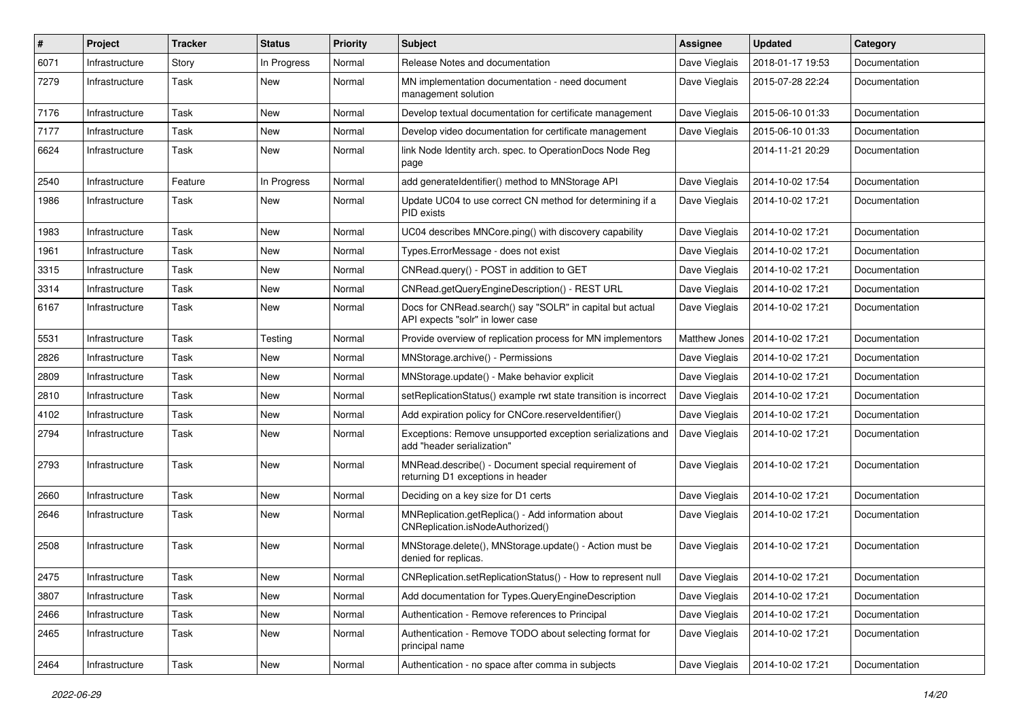| #    | Project        | <b>Tracker</b> | <b>Status</b> | <b>Priority</b> | <b>Subject</b>                                                                                | Assignee      | <b>Updated</b>   | Category      |
|------|----------------|----------------|---------------|-----------------|-----------------------------------------------------------------------------------------------|---------------|------------------|---------------|
| 6071 | Infrastructure | Story          | In Progress   | Normal          | Release Notes and documentation                                                               | Dave Vieglais | 2018-01-17 19:53 | Documentation |
| 7279 | Infrastructure | Task           | <b>New</b>    | Normal          | MN implementation documentation - need document<br>management solution                        | Dave Vieglais | 2015-07-28 22:24 | Documentation |
| 7176 | Infrastructure | Task           | New           | Normal          | Develop textual documentation for certificate management                                      | Dave Vieglais | 2015-06-10 01:33 | Documentation |
| 7177 | Infrastructure | Task           | New           | Normal          | Develop video documentation for certificate management                                        | Dave Vieglais | 2015-06-10 01:33 | Documentation |
| 6624 | Infrastructure | Task           | New           | Normal          | link Node Identity arch. spec. to OperationDocs Node Reg<br>page                              |               | 2014-11-21 20:29 | Documentation |
| 2540 | Infrastructure | Feature        | In Progress   | Normal          | add generateIdentifier() method to MNStorage API                                              | Dave Vieglais | 2014-10-02 17:54 | Documentation |
| 1986 | Infrastructure | Task           | New           | Normal          | Update UC04 to use correct CN method for determining if a<br>PID exists                       | Dave Vieglais | 2014-10-02 17:21 | Documentation |
| 1983 | Infrastructure | Task           | New           | Normal          | UC04 describes MNCore.ping() with discovery capability                                        | Dave Vieglais | 2014-10-02 17:21 | Documentation |
| 1961 | Infrastructure | Task           | New           | Normal          | Types.ErrorMessage - does not exist                                                           | Dave Vieglais | 2014-10-02 17:21 | Documentation |
| 3315 | Infrastructure | Task           | <b>New</b>    | Normal          | CNRead.query() - POST in addition to GET                                                      | Dave Vieglais | 2014-10-02 17:21 | Documentation |
| 3314 | Infrastructure | Task           | New           | Normal          | CNRead.getQueryEngineDescription() - REST URL                                                 | Dave Vieglais | 2014-10-02 17:21 | Documentation |
| 6167 | Infrastructure | Task           | New           | Normal          | Docs for CNRead.search() say "SOLR" in capital but actual<br>API expects "solr" in lower case | Dave Vieglais | 2014-10-02 17:21 | Documentation |
| 5531 | Infrastructure | Task           | Testing       | Normal          | Provide overview of replication process for MN implementors                                   | Matthew Jones | 2014-10-02 17:21 | Documentation |
| 2826 | Infrastructure | Task           | New           | Normal          | MNStorage.archive() - Permissions                                                             | Dave Vieglais | 2014-10-02 17:21 | Documentation |
| 2809 | Infrastructure | Task           | New           | Normal          | MNStorage.update() - Make behavior explicit                                                   | Dave Vieglais | 2014-10-02 17:21 | Documentation |
| 2810 | Infrastructure | Task           | New           | Normal          | setReplicationStatus() example rwt state transition is incorrect                              | Dave Vieglais | 2014-10-02 17:21 | Documentation |
| 4102 | Infrastructure | Task           | New           | Normal          | Add expiration policy for CNCore.reserveldentifier()                                          | Dave Vieglais | 2014-10-02 17:21 | Documentation |
| 2794 | Infrastructure | Task           | New           | Normal          | Exceptions: Remove unsupported exception serializations and<br>add "header serialization"     | Dave Vieglais | 2014-10-02 17:21 | Documentation |
| 2793 | Infrastructure | Task           | New           | Normal          | MNRead.describe() - Document special requirement of<br>returning D1 exceptions in header      | Dave Vieglais | 2014-10-02 17:21 | Documentation |
| 2660 | Infrastructure | Task           | <b>New</b>    | Normal          | Deciding on a key size for D1 certs                                                           | Dave Vieglais | 2014-10-02 17:21 | Documentation |
| 2646 | Infrastructure | Task           | New           | Normal          | MNReplication.getReplica() - Add information about<br>CNReplication.isNodeAuthorized()        | Dave Vieglais | 2014-10-02 17:21 | Documentation |
| 2508 | Infrastructure | Task           | New           | Normal          | MNStorage.delete(), MNStorage.update() - Action must be<br>denied for replicas.               | Dave Vieglais | 2014-10-02 17:21 | Documentation |
| 2475 | Infrastructure | Task           | New           | Normal          | CNReplication.setReplicationStatus() - How to represent null                                  | Dave Vieglais | 2014-10-02 17:21 | Documentation |
| 3807 | Infrastructure | Task           | New           | Normal          | Add documentation for Types.QueryEngineDescription                                            | Dave Vieglais | 2014-10-02 17:21 | Documentation |
| 2466 | Infrastructure | Task           | New           | Normal          | Authentication - Remove references to Principal                                               | Dave Vieglais | 2014-10-02 17:21 | Documentation |
| 2465 | Infrastructure | Task           | New           | Normal          | Authentication - Remove TODO about selecting format for<br>principal name                     | Dave Vieglais | 2014-10-02 17:21 | Documentation |
| 2464 | Infrastructure | Task           | New           | Normal          | Authentication - no space after comma in subjects                                             | Dave Vieglais | 2014-10-02 17:21 | Documentation |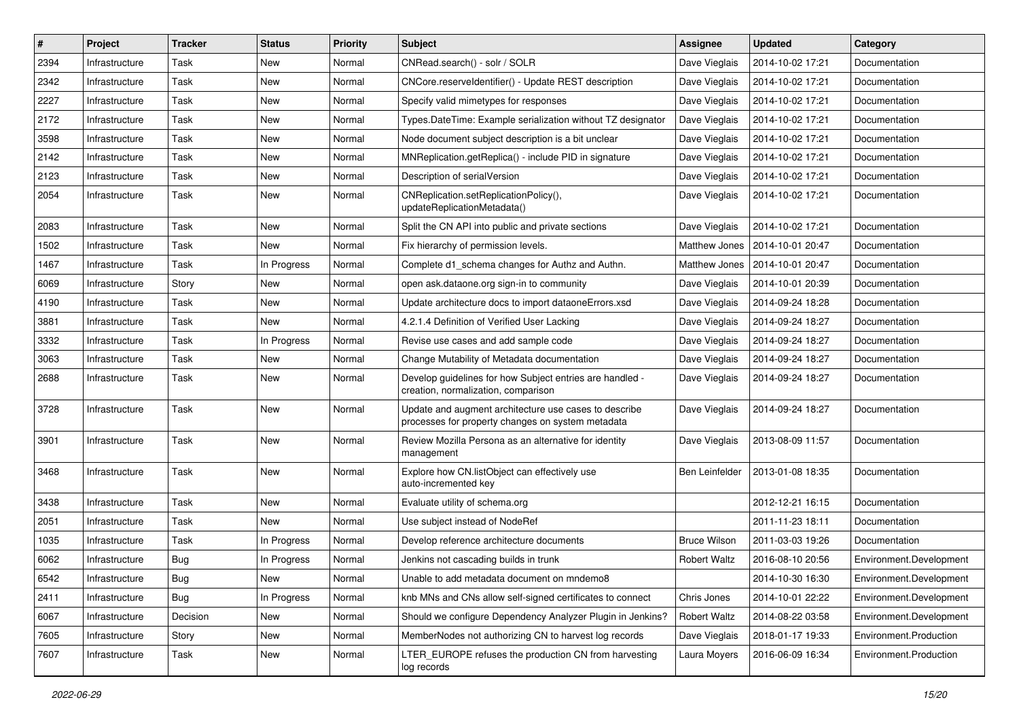| #    | Project        | <b>Tracker</b> | <b>Status</b> | <b>Priority</b> | <b>Subject</b>                                                                                             | Assignee              | <b>Updated</b>   | Category                |
|------|----------------|----------------|---------------|-----------------|------------------------------------------------------------------------------------------------------------|-----------------------|------------------|-------------------------|
| 2394 | Infrastructure | Task           | New           | Normal          | CNRead.search() - solr / SOLR                                                                              | Dave Vieglais         | 2014-10-02 17:21 | Documentation           |
| 2342 | Infrastructure | Task           | <b>New</b>    | Normal          | CNCore.reserveldentifier() - Update REST description                                                       | Dave Vieglais         | 2014-10-02 17:21 | Documentation           |
| 2227 | Infrastructure | Task           | New           | Normal          | Specify valid mimetypes for responses                                                                      | Dave Vieglais         | 2014-10-02 17:21 | Documentation           |
| 2172 | Infrastructure | Task           | New           | Normal          | Types.DateTime: Example serialization without TZ designator                                                | Dave Vieglais         | 2014-10-02 17:21 | Documentation           |
| 3598 | Infrastructure | Task           | New           | Normal          | Node document subject description is a bit unclear                                                         | Dave Vieglais         | 2014-10-02 17:21 | Documentation           |
| 2142 | Infrastructure | Task           | New           | Normal          | MNReplication.getReplica() - include PID in signature                                                      | Dave Vieglais         | 2014-10-02 17:21 | Documentation           |
| 2123 | Infrastructure | Task           | New           | Normal          | Description of serialVersion                                                                               | Dave Vieglais         | 2014-10-02 17:21 | Documentation           |
| 2054 | Infrastructure | Task           | New           | Normal          | CNReplication.setReplicationPolicy(),<br>updateReplicationMetadata()                                       | Dave Vieglais         | 2014-10-02 17:21 | Documentation           |
| 2083 | Infrastructure | Task           | New           | Normal          | Split the CN API into public and private sections                                                          | Dave Vieglais         | 2014-10-02 17:21 | Documentation           |
| 1502 | Infrastructure | Task           | New           | Normal          | Fix hierarchy of permission levels.                                                                        | Matthew Jones         | 2014-10-01 20:47 | Documentation           |
| 1467 | Infrastructure | Task           | In Progress   | Normal          | Complete d1_schema changes for Authz and Authn.                                                            | Matthew Jones         | 2014-10-01 20:47 | Documentation           |
| 6069 | Infrastructure | Story          | New           | Normal          | open ask.dataone.org sign-in to community                                                                  | Dave Vieglais         | 2014-10-01 20:39 | Documentation           |
| 4190 | Infrastructure | Task           | New           | Normal          | Update architecture docs to import dataoneErrors.xsd                                                       | Dave Vieglais         | 2014-09-24 18:28 | Documentation           |
| 3881 | Infrastructure | Task           | New           | Normal          | 4.2.1.4 Definition of Verified User Lacking                                                                | Dave Vieglais         | 2014-09-24 18:27 | Documentation           |
| 3332 | Infrastructure | Task           | In Progress   | Normal          | Revise use cases and add sample code                                                                       | Dave Vieglais         | 2014-09-24 18:27 | Documentation           |
| 3063 | Infrastructure | Task           | New           | Normal          | Change Mutability of Metadata documentation                                                                | Dave Vieglais         | 2014-09-24 18:27 | Documentation           |
| 2688 | Infrastructure | Task           | New           | Normal          | Develop guidelines for how Subject entries are handled -<br>creation, normalization, comparison            | Dave Vieglais         | 2014-09-24 18:27 | Documentation           |
| 3728 | Infrastructure | Task           | New           | Normal          | Update and augment architecture use cases to describe<br>processes for property changes on system metadata | Dave Vieglais         | 2014-09-24 18:27 | Documentation           |
| 3901 | Infrastructure | Task           | New           | Normal          | Review Mozilla Persona as an alternative for identity<br>management                                        | Dave Vieglais         | 2013-08-09 11:57 | Documentation           |
| 3468 | Infrastructure | Task           | New           | Normal          | Explore how CN.listObject can effectively use<br>auto-incremented key                                      | <b>Ben Leinfelder</b> | 2013-01-08 18:35 | Documentation           |
| 3438 | Infrastructure | Task           | New           | Normal          | Evaluate utility of schema.org                                                                             |                       | 2012-12-21 16:15 | Documentation           |
| 2051 | Infrastructure | Task           | New           | Normal          | Use subject instead of NodeRef                                                                             |                       | 2011-11-23 18:11 | Documentation           |
| 1035 | Infrastructure | Task           | In Progress   | Normal          | Develop reference architecture documents                                                                   | <b>Bruce Wilson</b>   | 2011-03-03 19:26 | Documentation           |
| 6062 | Infrastructure | Bug            | In Progress   | Normal          | Jenkins not cascading builds in trunk                                                                      | <b>Robert Waltz</b>   | 2016-08-10 20:56 | Environment.Development |
| 6542 | Infrastructure | Bug            | <b>New</b>    | Normal          | Unable to add metadata document on mndemo8                                                                 |                       | 2014-10-30 16:30 | Environment.Development |
| 2411 | Infrastructure | <b>Bug</b>     | In Progress   | Normal          | knb MNs and CNs allow self-signed certificates to connect                                                  | Chris Jones           | 2014-10-01 22:22 | Environment.Development |
| 6067 | Infrastructure | Decision       | New           | Normal          | Should we configure Dependency Analyzer Plugin in Jenkins?                                                 | <b>Robert Waltz</b>   | 2014-08-22 03:58 | Environment.Development |
| 7605 | Infrastructure | Story          | New           | Normal          | MemberNodes not authorizing CN to harvest log records                                                      | Dave Vieglais         | 2018-01-17 19:33 | Environment.Production  |
| 7607 | Infrastructure | Task           | New           | Normal          | LTER_EUROPE refuses the production CN from harvesting<br>log records                                       | Laura Moyers          | 2016-06-09 16:34 | Environment.Production  |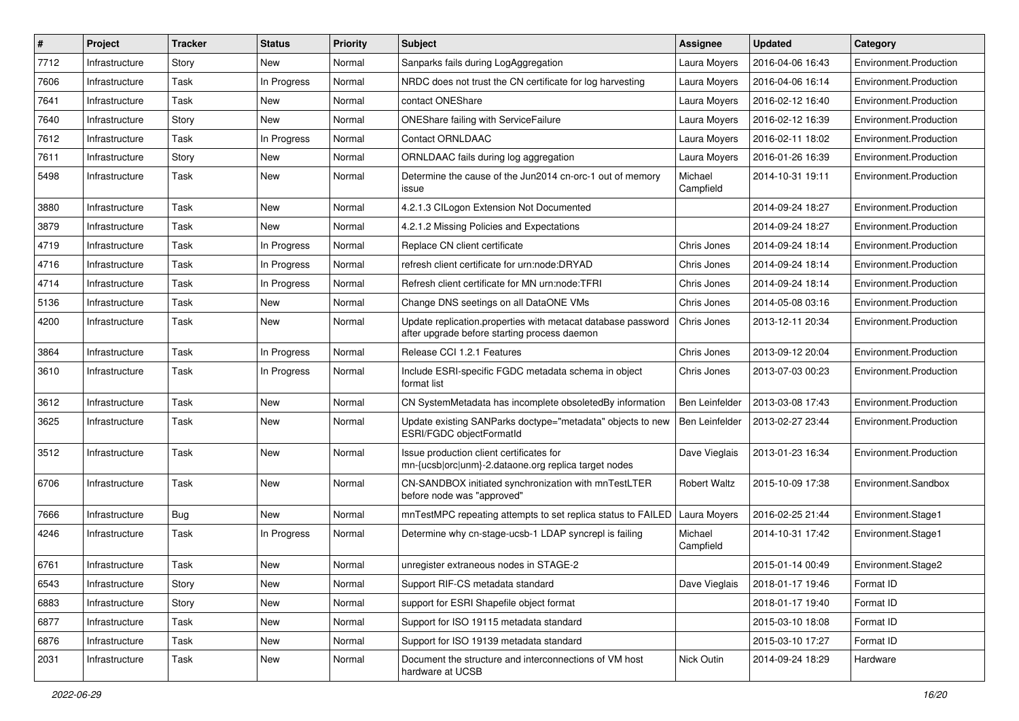| #    | Project        | <b>Tracker</b> | <b>Status</b> | <b>Priority</b> | <b>Subject</b>                                                                                               | <b>Assignee</b>      | <b>Updated</b>   | Category               |
|------|----------------|----------------|---------------|-----------------|--------------------------------------------------------------------------------------------------------------|----------------------|------------------|------------------------|
| 7712 | Infrastructure | Story          | New           | Normal          | Sanparks fails during LogAggregation                                                                         | Laura Moyers         | 2016-04-06 16:43 | Environment.Production |
| 7606 | Infrastructure | Task           | In Progress   | Normal          | NRDC does not trust the CN certificate for log harvesting                                                    | Laura Moyers         | 2016-04-06 16:14 | Environment.Production |
| 7641 | Infrastructure | Task           | New           | Normal          | contact ONEShare                                                                                             | Laura Moyers         | 2016-02-12 16:40 | Environment.Production |
| 7640 | Infrastructure | Story          | New           | Normal          | <b>ONEShare failing with ServiceFailure</b>                                                                  | Laura Moyers         | 2016-02-12 16:39 | Environment.Production |
| 7612 | Infrastructure | Task           | In Progress   | Normal          | <b>Contact ORNLDAAC</b>                                                                                      | Laura Moyers         | 2016-02-11 18:02 | Environment.Production |
| 7611 | Infrastructure | Story          | New           | Normal          | ORNLDAAC fails during log aggregation                                                                        | Laura Moyers         | 2016-01-26 16:39 | Environment.Production |
| 5498 | Infrastructure | Task           | New           | Normal          | Determine the cause of the Jun2014 cn-orc-1 out of memory<br>issue                                           | Michael<br>Campfield | 2014-10-31 19:11 | Environment.Production |
| 3880 | Infrastructure | Task           | <b>New</b>    | Normal          | 4.2.1.3 CILogon Extension Not Documented                                                                     |                      | 2014-09-24 18:27 | Environment.Production |
| 3879 | Infrastructure | Task           | New           | Normal          | 4.2.1.2 Missing Policies and Expectations                                                                    |                      | 2014-09-24 18:27 | Environment.Production |
| 4719 | Infrastructure | Task           | In Progress   | Normal          | Replace CN client certificate                                                                                | Chris Jones          | 2014-09-24 18:14 | Environment.Production |
| 4716 | Infrastructure | Task           | In Progress   | Normal          | refresh client certificate for urn:node:DRYAD                                                                | Chris Jones          | 2014-09-24 18:14 | Environment.Production |
| 4714 | Infrastructure | Task           | In Progress   | Normal          | Refresh client certificate for MN urn:node:TFRI                                                              | Chris Jones          | 2014-09-24 18:14 | Environment.Production |
| 5136 | Infrastructure | Task           | New           | Normal          | Change DNS seetings on all DataONE VMs                                                                       | Chris Jones          | 2014-05-08 03:16 | Environment.Production |
| 4200 | Infrastructure | Task           | New           | Normal          | Update replication.properties with metacat database password<br>after upgrade before starting process daemon | Chris Jones          | 2013-12-11 20:34 | Environment.Production |
| 3864 | Infrastructure | Task           | In Progress   | Normal          | Release CCI 1.2.1 Features                                                                                   | Chris Jones          | 2013-09-12 20:04 | Environment.Production |
| 3610 | Infrastructure | Task           | In Progress   | Normal          | Include ESRI-specific FGDC metadata schema in object<br>format list                                          | Chris Jones          | 2013-07-03 00:23 | Environment.Production |
| 3612 | Infrastructure | Task           | New           | Normal          | CN SystemMetadata has incomplete obsoletedBy information                                                     | Ben Leinfelder       | 2013-03-08 17:43 | Environment.Production |
| 3625 | Infrastructure | Task           | <b>New</b>    | Normal          | Update existing SANParks doctype="metadata" objects to new<br>ESRI/FGDC objectFormatId                       | Ben Leinfelder       | 2013-02-27 23:44 | Environment.Production |
| 3512 | Infrastructure | Task           | New           | Normal          | Issue production client certificates for<br>mn-{ucsb orc unm}-2.dataone.org replica target nodes             | Dave Vieglais        | 2013-01-23 16:34 | Environment.Production |
| 6706 | Infrastructure | Task           | New           | Normal          | CN-SANDBOX initiated synchronization with mnTestLTER<br>before node was "approved"                           | <b>Robert Waltz</b>  | 2015-10-09 17:38 | Environment.Sandbox    |
| 7666 | Infrastructure | Bug            | New           | Normal          | mnTestMPC repeating attempts to set replica status to FAILED                                                 | Laura Moyers         | 2016-02-25 21:44 | Environment.Stage1     |
| 4246 | Infrastructure | Task           | In Progress   | Normal          | Determine why cn-stage-ucsb-1 LDAP syncrepl is failing                                                       | Michael<br>Campfield | 2014-10-31 17:42 | Environment.Stage1     |
| 6761 | Infrastructure | Task           | <b>New</b>    | Normal          | unregister extraneous nodes in STAGE-2                                                                       |                      | 2015-01-14 00:49 | Environment.Stage2     |
| 6543 | Infrastructure | Story          | New           | Normal          | Support RIF-CS metadata standard                                                                             | Dave Vieglais        | 2018-01-17 19:46 | Format ID              |
| 6883 | Infrastructure | Story          | New           | Normal          | support for ESRI Shapefile object format                                                                     |                      | 2018-01-17 19:40 | Format ID              |
| 6877 | Infrastructure | Task           | New           | Normal          | Support for ISO 19115 metadata standard                                                                      |                      | 2015-03-10 18:08 | Format ID              |
| 6876 | Infrastructure | Task           | New           | Normal          | Support for ISO 19139 metadata standard                                                                      |                      | 2015-03-10 17:27 | Format ID              |
| 2031 | Infrastructure | Task           | New           | Normal          | Document the structure and interconnections of VM host<br>hardware at UCSB                                   | Nick Outin           | 2014-09-24 18:29 | Hardware               |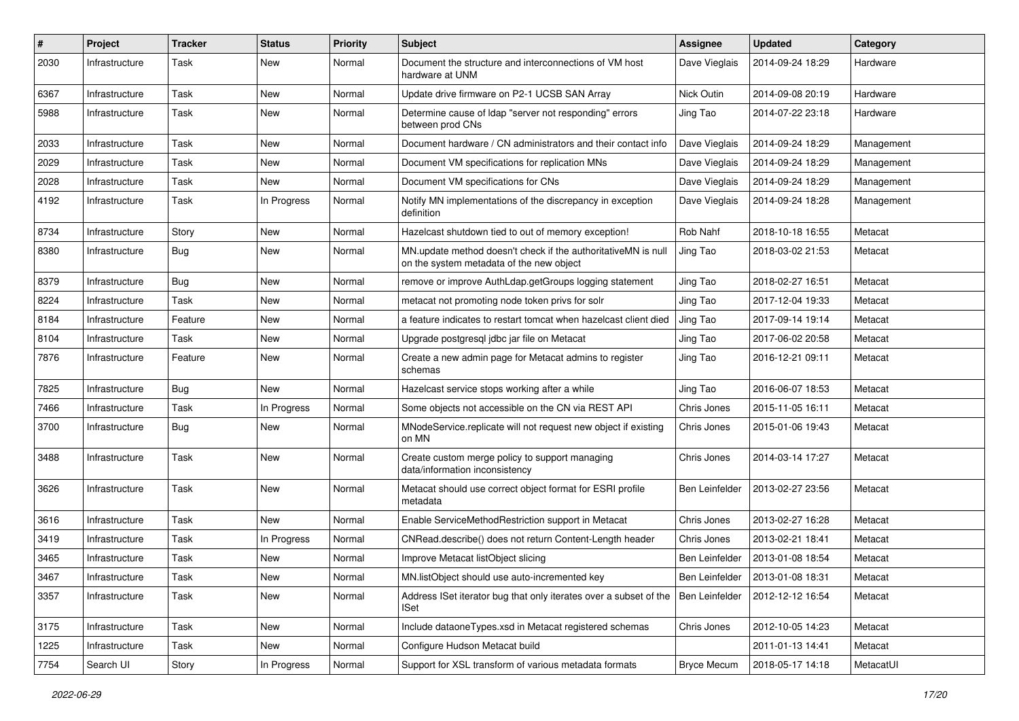| #    | Project        | <b>Tracker</b> | <b>Status</b> | <b>Priority</b> | <b>Subject</b>                                                                                            | <b>Assignee</b>    | <b>Updated</b>   | Category   |
|------|----------------|----------------|---------------|-----------------|-----------------------------------------------------------------------------------------------------------|--------------------|------------------|------------|
| 2030 | Infrastructure | Task           | New           | Normal          | Document the structure and interconnections of VM host<br>hardware at UNM                                 | Dave Vieglais      | 2014-09-24 18:29 | Hardware   |
| 6367 | Infrastructure | Task           | New           | Normal          | Update drive firmware on P2-1 UCSB SAN Array                                                              | Nick Outin         | 2014-09-08 20:19 | Hardware   |
| 5988 | Infrastructure | Task           | New           | Normal          | Determine cause of Idap "server not responding" errors<br>between prod CNs                                | Jing Tao           | 2014-07-22 23:18 | Hardware   |
| 2033 | Infrastructure | Task           | New           | Normal          | Document hardware / CN administrators and their contact info                                              | Dave Vieglais      | 2014-09-24 18:29 | Management |
| 2029 | Infrastructure | Task           | New           | Normal          | Document VM specifications for replication MNs                                                            | Dave Vieglais      | 2014-09-24 18:29 | Management |
| 2028 | Infrastructure | Task           | New           | Normal          | Document VM specifications for CNs                                                                        | Dave Vieglais      | 2014-09-24 18:29 | Management |
| 4192 | Infrastructure | Task           | In Progress   | Normal          | Notify MN implementations of the discrepancy in exception<br>definition                                   | Dave Vieglais      | 2014-09-24 18:28 | Management |
| 8734 | Infrastructure | Story          | New           | Normal          | Hazelcast shutdown tied to out of memory exception!                                                       | Rob Nahf           | 2018-10-18 16:55 | Metacat    |
| 8380 | Infrastructure | Bug            | New           | Normal          | MN update method doesn't check if the authoritativeMN is null<br>on the system metadata of the new object | Jing Tao           | 2018-03-02 21:53 | Metacat    |
| 8379 | Infrastructure | <b>Bug</b>     | New           | Normal          | remove or improve AuthLdap.getGroups logging statement                                                    | Jing Tao           | 2018-02-27 16:51 | Metacat    |
| 8224 | Infrastructure | Task           | New           | Normal          | metacat not promoting node token privs for solr                                                           | Jing Tao           | 2017-12-04 19:33 | Metacat    |
| 8184 | Infrastructure | Feature        | New           | Normal          | a feature indicates to restart tomcat when hazelcast client died                                          | Jing Tao           | 2017-09-14 19:14 | Metacat    |
| 8104 | Infrastructure | Task           | New           | Normal          | Upgrade postgresql jdbc jar file on Metacat                                                               | Jing Tao           | 2017-06-02 20:58 | Metacat    |
| 7876 | Infrastructure | Feature        | New           | Normal          | Create a new admin page for Metacat admins to register<br>schemas                                         | Jing Tao           | 2016-12-21 09:11 | Metacat    |
| 7825 | Infrastructure | Bug            | New           | Normal          | Hazelcast service stops working after a while                                                             | Jing Tao           | 2016-06-07 18:53 | Metacat    |
| 7466 | Infrastructure | Task           | In Progress   | Normal          | Some objects not accessible on the CN via REST API                                                        | Chris Jones        | 2015-11-05 16:11 | Metacat    |
| 3700 | Infrastructure | Bug            | New           | Normal          | MNodeService.replicate will not request new object if existing<br>on MN                                   | Chris Jones        | 2015-01-06 19:43 | Metacat    |
| 3488 | Infrastructure | Task           | New           | Normal          | Create custom merge policy to support managing<br>data/information inconsistency                          | Chris Jones        | 2014-03-14 17:27 | Metacat    |
| 3626 | Infrastructure | Task           | New           | Normal          | Metacat should use correct object format for ESRI profile<br>metadata                                     | Ben Leinfelder     | 2013-02-27 23:56 | Metacat    |
| 3616 | Infrastructure | Task           | New           | Normal          | Enable ServiceMethodRestriction support in Metacat                                                        | Chris Jones        | 2013-02-27 16:28 | Metacat    |
| 3419 | Infrastructure | Task           | In Progress   | Normal          | CNRead.describe() does not return Content-Length header                                                   | Chris Jones        | 2013-02-21 18:41 | Metacat    |
| 3465 | Infrastructure | Task           | New           | Normal          | Improve Metacat listObject slicing                                                                        | Ben Leinfelder     | 2013-01-08 18:54 | Metacat    |
| 3467 | Infrastructure | Task           | New           | Normal          | MN.listObject should use auto-incremented key                                                             | Ben Leinfelder     | 2013-01-08 18:31 | Metacat    |
| 3357 | Infrastructure | Task           | New           | Normal          | Address ISet iterator bug that only iterates over a subset of the<br>ISet                                 | Ben Leinfelder     | 2012-12-12 16:54 | Metacat    |
| 3175 | Infrastructure | Task           | New           | Normal          | Include dataoneTypes.xsd in Metacat registered schemas                                                    | Chris Jones        | 2012-10-05 14:23 | Metacat    |
| 1225 | Infrastructure | Task           | New           | Normal          | Configure Hudson Metacat build                                                                            |                    | 2011-01-13 14:41 | Metacat    |
| 7754 | Search UI      | Story          | In Progress   | Normal          | Support for XSL transform of various metadata formats                                                     | <b>Bryce Mecum</b> | 2018-05-17 14:18 | MetacatUI  |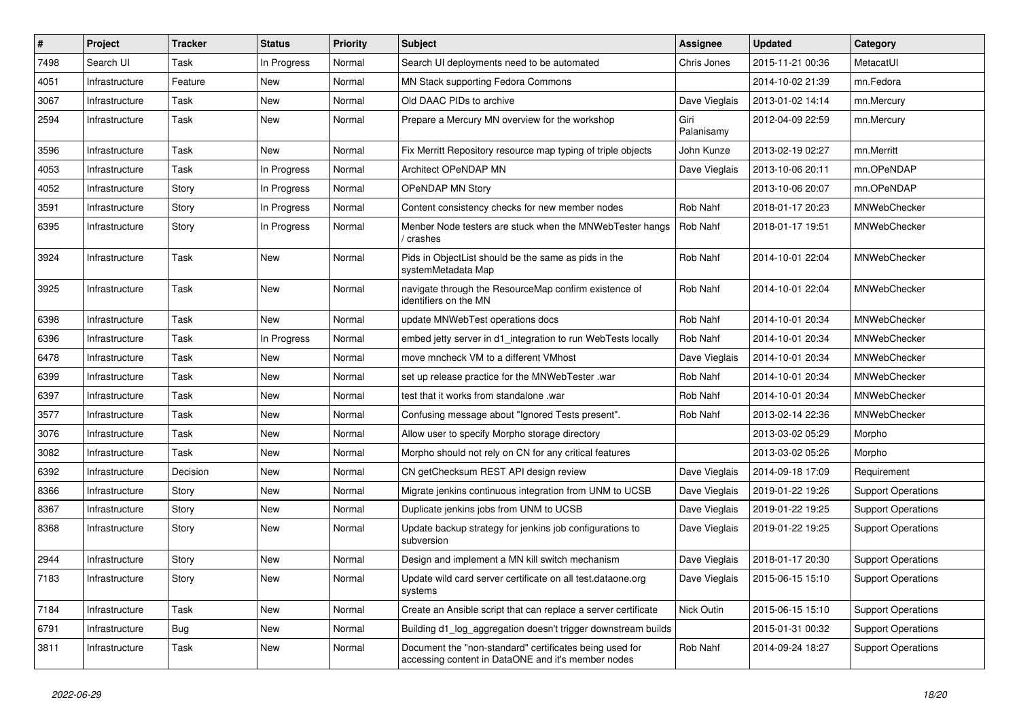| #    | Project        | <b>Tracker</b> | <b>Status</b> | <b>Priority</b> | <b>Subject</b>                                                                                                | Assignee           | <b>Updated</b>   | Category                  |
|------|----------------|----------------|---------------|-----------------|---------------------------------------------------------------------------------------------------------------|--------------------|------------------|---------------------------|
| 7498 | Search UI      | Task           | In Progress   | Normal          | Search UI deployments need to be automated                                                                    | Chris Jones        | 2015-11-21 00:36 | MetacatUI                 |
| 4051 | Infrastructure | Feature        | <b>New</b>    | Normal          | MN Stack supporting Fedora Commons                                                                            |                    | 2014-10-02 21:39 | mn.Fedora                 |
| 3067 | Infrastructure | Task           | New           | Normal          | Old DAAC PIDs to archive                                                                                      | Dave Vieglais      | 2013-01-02 14:14 | mn.Mercury                |
| 2594 | Infrastructure | Task           | New           | Normal          | Prepare a Mercury MN overview for the workshop                                                                | Giri<br>Palanisamy | 2012-04-09 22:59 | mn.Mercury                |
| 3596 | Infrastructure | Task           | New           | Normal          | Fix Merritt Repository resource map typing of triple objects                                                  | John Kunze         | 2013-02-19 02:27 | mn.Merritt                |
| 4053 | Infrastructure | Task           | In Progress   | Normal          | Architect OPeNDAP MN                                                                                          | Dave Vieglais      | 2013-10-06 20:11 | mn.OPeNDAP                |
| 4052 | Infrastructure | Story          | In Progress   | Normal          | <b>OPeNDAP MN Story</b>                                                                                       |                    | 2013-10-06 20:07 | mn.OPeNDAP                |
| 3591 | Infrastructure | Story          | In Progress   | Normal          | Content consistency checks for new member nodes                                                               | Rob Nahf           | 2018-01-17 20:23 | MNWebChecker              |
| 6395 | Infrastructure | Story          | In Progress   | Normal          | Menber Node testers are stuck when the MNWebTester hangs<br>crashes /                                         | Rob Nahf           | 2018-01-17 19:51 | MNWebChecker              |
| 3924 | Infrastructure | Task           | New           | Normal          | Pids in ObjectList should be the same as pids in the<br>systemMetadata Map                                    | Rob Nahf           | 2014-10-01 22:04 | MNWebChecker              |
| 3925 | Infrastructure | Task           | New           | Normal          | navigate through the ResourceMap confirm existence of<br>identifiers on the MN                                | Rob Nahf           | 2014-10-01 22:04 | MNWebChecker              |
| 6398 | Infrastructure | Task           | New           | Normal          | update MNWebTest operations docs                                                                              | Rob Nahf           | 2014-10-01 20:34 | MNWebChecker              |
| 6396 | Infrastructure | Task           | In Progress   | Normal          | embed jetty server in d1_integration to run WebTests locally                                                  | Rob Nahf           | 2014-10-01 20:34 | MNWebChecker              |
| 6478 | Infrastructure | Task           | <b>New</b>    | Normal          | move mncheck VM to a different VMhost                                                                         | Dave Vieglais      | 2014-10-01 20:34 | MNWebChecker              |
| 6399 | Infrastructure | Task           | New           | Normal          | set up release practice for the MNWebTester .war                                                              | Rob Nahf           | 2014-10-01 20:34 | MNWebChecker              |
| 6397 | Infrastructure | Task           | New           | Normal          | test that it works from standalone .war                                                                       | Rob Nahf           | 2014-10-01 20:34 | MNWebChecker              |
| 3577 | Infrastructure | Task           | <b>New</b>    | Normal          | Confusing message about "Ignored Tests present".                                                              | Rob Nahf           | 2013-02-14 22:36 | MNWebChecker              |
| 3076 | Infrastructure | Task           | New           | Normal          | Allow user to specify Morpho storage directory                                                                |                    | 2013-03-02 05:29 | Morpho                    |
| 3082 | Infrastructure | Task           | <b>New</b>    | Normal          | Morpho should not rely on CN for any critical features                                                        |                    | 2013-03-02 05:26 | Morpho                    |
| 6392 | Infrastructure | Decision       | New           | Normal          | CN getChecksum REST API design review                                                                         | Dave Vieglais      | 2014-09-18 17:09 | Requirement               |
| 8366 | Infrastructure | Story          | New           | Normal          | Migrate jenkins continuous integration from UNM to UCSB                                                       | Dave Vieglais      | 2019-01-22 19:26 | <b>Support Operations</b> |
| 8367 | Infrastructure | Story          | New           | Normal          | Duplicate jenkins jobs from UNM to UCSB                                                                       | Dave Vieglais      | 2019-01-22 19:25 | <b>Support Operations</b> |
| 8368 | Infrastructure | Story          | New           | Normal          | Update backup strategy for jenkins job configurations to<br>subversion                                        | Dave Vieglais      | 2019-01-22 19:25 | <b>Support Operations</b> |
| 2944 | Infrastructure | Story          | <b>New</b>    | Normal          | Design and implement a MN kill switch mechanism                                                               | Dave Vieglais      | 2018-01-17 20:30 | <b>Support Operations</b> |
| 7183 | Infrastructure | Story          | New           | Normal          | Update wild card server certificate on all test.dataone.org<br>systems                                        | Dave Vieglais      | 2015-06-15 15:10 | <b>Support Operations</b> |
| 7184 | Infrastructure | Task           | New           | Normal          | Create an Ansible script that can replace a server certificate                                                | Nick Outin         | 2015-06-15 15:10 | <b>Support Operations</b> |
| 6791 | Infrastructure | <b>Bug</b>     | New           | Normal          | Building d1_log_aggregation doesn't trigger downstream builds                                                 |                    | 2015-01-31 00:32 | <b>Support Operations</b> |
| 3811 | Infrastructure | Task           | New           | Normal          | Document the "non-standard" certificates being used for<br>accessing content in DataONE and it's member nodes | Rob Nahf           | 2014-09-24 18:27 | <b>Support Operations</b> |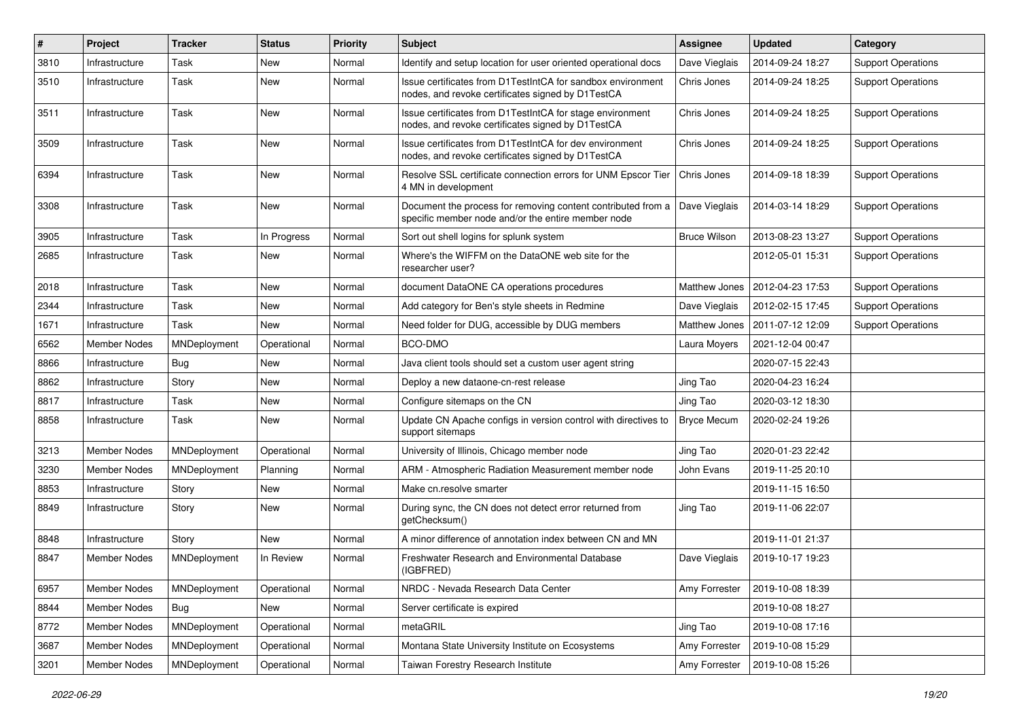| $\#$ | Project             | <b>Tracker</b> | <b>Status</b> | <b>Priority</b> | Subject                                                                                                            | <b>Assignee</b>     | <b>Updated</b>   | Category                  |
|------|---------------------|----------------|---------------|-----------------|--------------------------------------------------------------------------------------------------------------------|---------------------|------------------|---------------------------|
| 3810 | Infrastructure      | Task           | New           | Normal          | Identify and setup location for user oriented operational docs                                                     | Dave Vieglais       | 2014-09-24 18:27 | <b>Support Operations</b> |
| 3510 | Infrastructure      | Task           | New           | Normal          | Issue certificates from D1TestIntCA for sandbox environment<br>nodes, and revoke certificates signed by D1TestCA   | Chris Jones         | 2014-09-24 18:25 | <b>Support Operations</b> |
| 3511 | Infrastructure      | Task           | New           | Normal          | Issue certificates from D1TestIntCA for stage environment<br>nodes, and revoke certificates signed by D1TestCA     | Chris Jones         | 2014-09-24 18:25 | <b>Support Operations</b> |
| 3509 | Infrastructure      | Task           | New           | Normal          | Issue certificates from D1TestIntCA for dev environment<br>nodes, and revoke certificates signed by D1TestCA       | Chris Jones         | 2014-09-24 18:25 | <b>Support Operations</b> |
| 6394 | Infrastructure      | Task           | <b>New</b>    | Normal          | Resolve SSL certificate connection errors for UNM Epscor Tier<br>4 MN in development                               | Chris Jones         | 2014-09-18 18:39 | <b>Support Operations</b> |
| 3308 | Infrastructure      | Task           | New           | Normal          | Document the process for removing content contributed from a<br>specific member node and/or the entire member node | Dave Vieglais       | 2014-03-14 18:29 | <b>Support Operations</b> |
| 3905 | Infrastructure      | Task           | In Progress   | Normal          | Sort out shell logins for splunk system                                                                            | <b>Bruce Wilson</b> | 2013-08-23 13:27 | <b>Support Operations</b> |
| 2685 | Infrastructure      | Task           | New           | Normal          | Where's the WIFFM on the DataONE web site for the<br>researcher user?                                              |                     | 2012-05-01 15:31 | <b>Support Operations</b> |
| 2018 | Infrastructure      | Task           | New           | Normal          | document DataONE CA operations procedures                                                                          | Matthew Jones       | 2012-04-23 17:53 | <b>Support Operations</b> |
| 2344 | Infrastructure      | Task           | New           | Normal          | Add category for Ben's style sheets in Redmine                                                                     | Dave Vieglais       | 2012-02-15 17:45 | <b>Support Operations</b> |
| 1671 | Infrastructure      | Task           | New           | Normal          | Need folder for DUG, accessible by DUG members                                                                     | Matthew Jones       | 2011-07-12 12:09 | <b>Support Operations</b> |
| 6562 | <b>Member Nodes</b> | MNDeployment   | Operational   | Normal          | BCO-DMO                                                                                                            | Laura Moyers        | 2021-12-04 00:47 |                           |
| 8866 | Infrastructure      | <b>Bug</b>     | New           | Normal          | Java client tools should set a custom user agent string                                                            |                     | 2020-07-15 22:43 |                           |
| 8862 | Infrastructure      | Story          | New           | Normal          | Deploy a new dataone-cn-rest release                                                                               | Jing Tao            | 2020-04-23 16:24 |                           |
| 8817 | Infrastructure      | Task           | New           | Normal          | Configure sitemaps on the CN                                                                                       | Jing Tao            | 2020-03-12 18:30 |                           |
| 8858 | Infrastructure      | Task           | New           | Normal          | Update CN Apache configs in version control with directives to<br>support sitemaps                                 | <b>Bryce Mecum</b>  | 2020-02-24 19:26 |                           |
| 3213 | <b>Member Nodes</b> | MNDeployment   | Operational   | Normal          | University of Illinois, Chicago member node                                                                        | Jing Tao            | 2020-01-23 22:42 |                           |
| 3230 | Member Nodes        | MNDeployment   | Planning      | Normal          | ARM - Atmospheric Radiation Measurement member node                                                                | John Evans          | 2019-11-25 20:10 |                           |
| 8853 | Infrastructure      | Story          | <b>New</b>    | Normal          | Make cn.resolve smarter                                                                                            |                     | 2019-11-15 16:50 |                           |
| 8849 | Infrastructure      | Story          | New           | Normal          | During sync, the CN does not detect error returned from<br>getChecksum()                                           | Jing Tao            | 2019-11-06 22:07 |                           |
| 8848 | Infrastructure      | Story          | <b>New</b>    | Normal          | A minor difference of annotation index between CN and MN                                                           |                     | 2019-11-01 21:37 |                           |
| 8847 | Member Nodes        | MNDeployment   | In Review     | Normal          | Freshwater Research and Environmental Database<br>(IGBFRED)                                                        | Dave Vieglais       | 2019-10-17 19:23 |                           |
| 6957 | Member Nodes        | MNDeployment   | Operational   | Normal          | NRDC - Nevada Research Data Center                                                                                 | Amy Forrester       | 2019-10-08 18:39 |                           |
| 8844 | Member Nodes        | Bug            | New           | Normal          | Server certificate is expired                                                                                      |                     | 2019-10-08 18:27 |                           |
| 8772 | Member Nodes        | MNDeployment   | Operational   | Normal          | metaGRIL                                                                                                           | Jing Tao            | 2019-10-08 17:16 |                           |
| 3687 | Member Nodes        | MNDeployment   | Operational   | Normal          | Montana State University Institute on Ecosystems                                                                   | Amy Forrester       | 2019-10-08 15:29 |                           |
| 3201 | Member Nodes        | MNDeployment   | Operational   | Normal          | Taiwan Forestry Research Institute                                                                                 | Amy Forrester       | 2019-10-08 15:26 |                           |